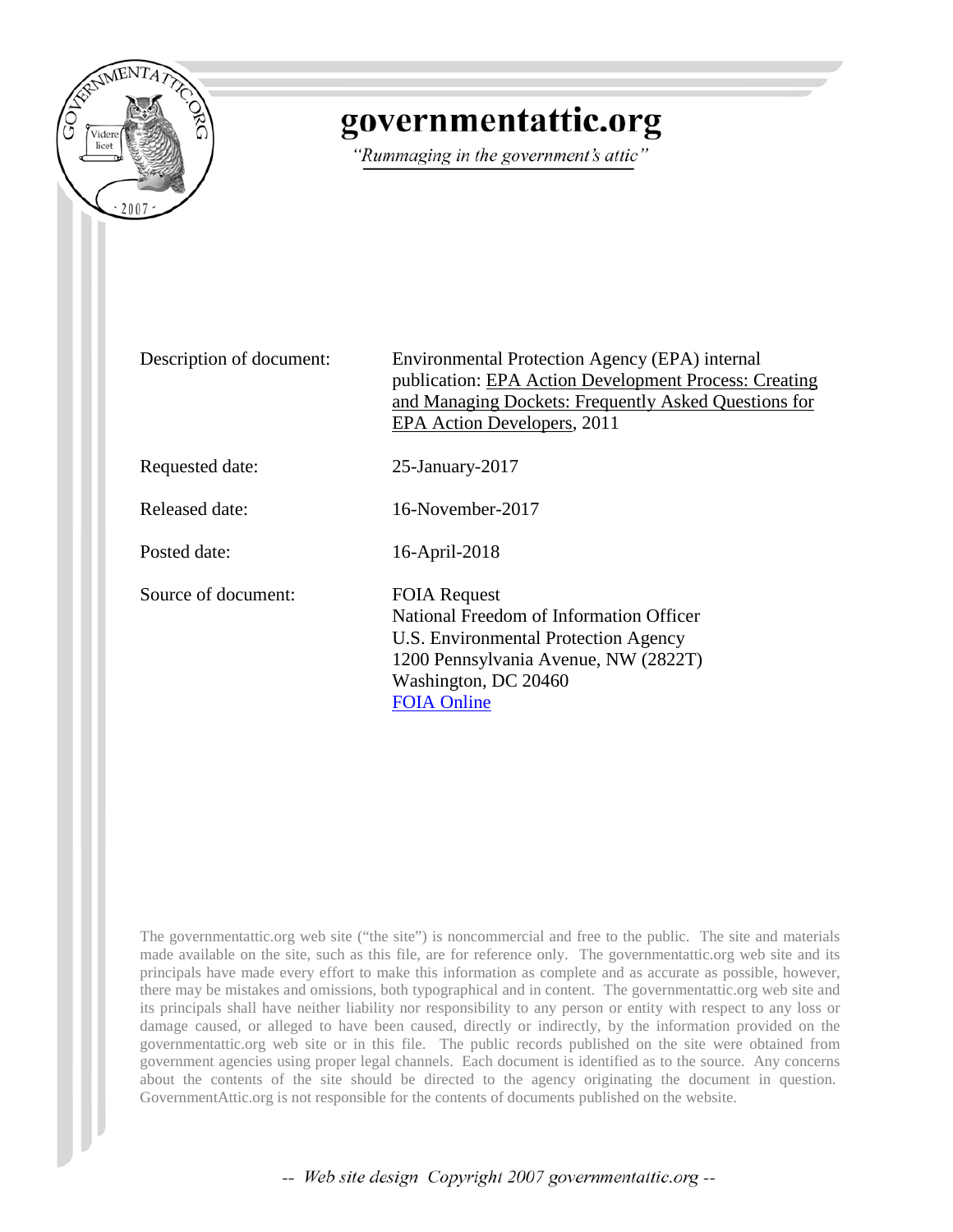

# governmentattic.org

"Rummaging in the government's attic"

Description of document: Environmental Protection Agency (EPA) internal publication: EPA Action Development Process: Creating and Managing Dockets: Frequently Asked Questions for EPA Action Developers, 2011

Requested date: 25-January-2017

Released date: 16-November-2017

Posted date: 16-April-2018

Source of document: FOIA Request

National Freedom of Information Officer U.S. Environmental Protection Agency 1200 Pennsylvania Avenue, NW (2822T) Washington, DC 20460 FOIA [Online](https://foiaonline.regulations.gov/foia/action/public/request/publicPreCreate)

The governmentattic.org web site ("the site") is noncommercial and free to the public. The site and materials made available on the site, such as this file, are for reference only. The governmentattic.org web site and its principals have made every effort to make this information as complete and as accurate as possible, however, there may be mistakes and omissions, both typographical and in content. The governmentattic.org web site and its principals shall have neither liability nor responsibility to any person or entity with respect to any loss or damage caused, or alleged to have been caused, directly or indirectly, by the information provided on the governmentattic.org web site or in this file. The public records published on the site were obtained from government agencies using proper legal channels. Each document is identified as to the source. Any concerns about the contents of the site should be directed to the agency originating the document in question. GovernmentAttic.org is not responsible for the contents of documents published on the website.

-- Web site design Copyright 2007 governmentattic.org --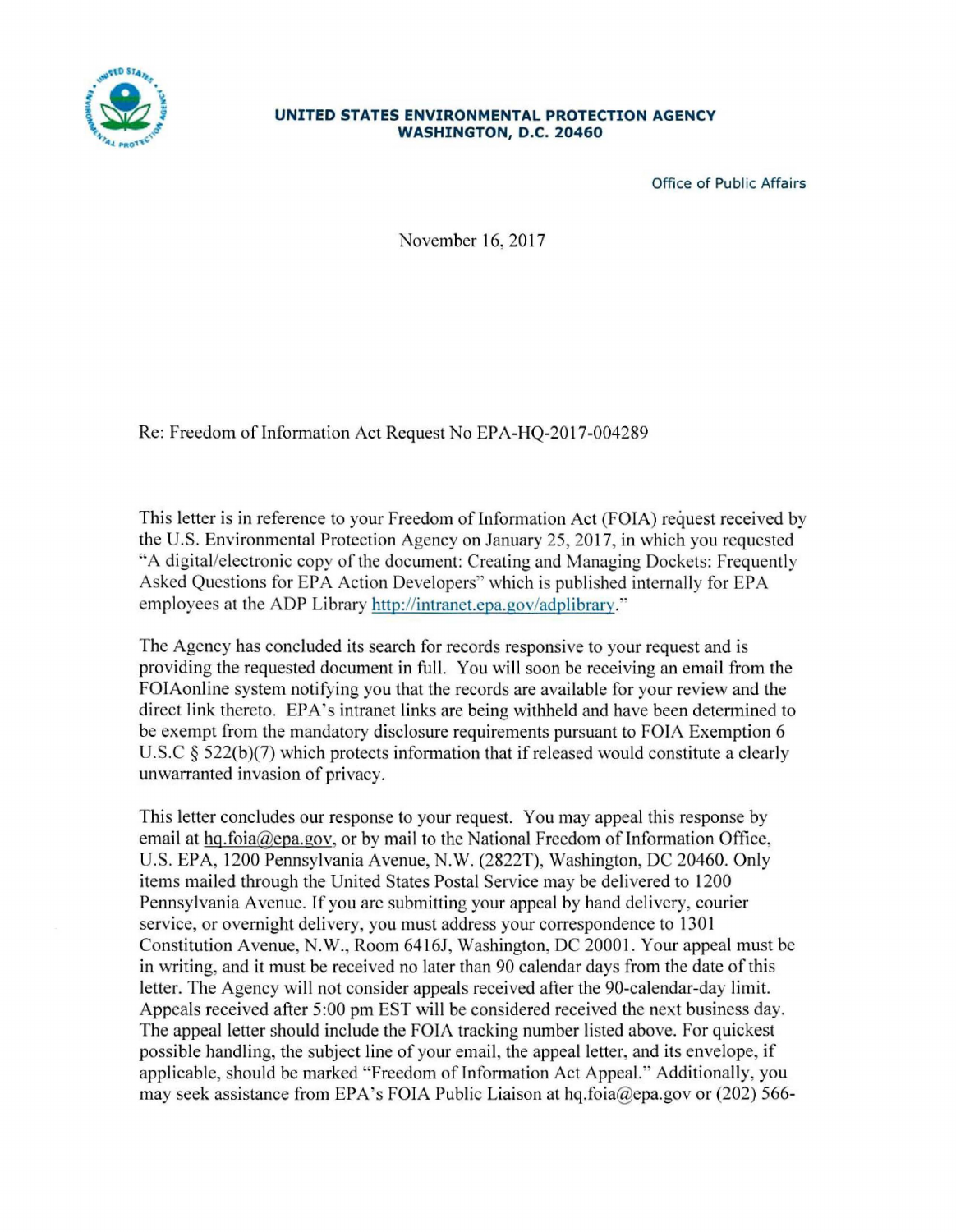

#### **UNITED STATES ENVIRONMENTAL PROTECTION AGENCY WASHINGTON, D.C. 20460**

Office of Public Affairs

November 16, 2017

Re: Freedom of Information Act Request No EPA-HQ-2017-004289

This letter is in reference to your Freedom of Information Act (FOIA) request received by the U.S. Environmental Protection Agency on January 25, 2017, in which you requested "A digital/electronic copy of the document: Creating and Managing Dockets: Frequently Asked Questions for EPA Action Developers" which is published internally for EPA mployees at the ADP Library http://intranet.epa.gov/adplibrary."

The Agency has concluded its search for records responsive to your request and is providing the requested document in full. You will soon be receiving an email from the FOIAonline system notifying you that the records are available for your review and the direct link thereto. EPA's intranet links are being withheld and have been determined to be exempt from the mandatory disclosure requirements pursuant to FOIA Exemption 6 U.S.C  $\S$  522(b)(7) which protects information that if released would constitute a clearly unwarranted invasion of privacy.

This letter concludes our response to your request. You may appeal this response by email at hq.foia@epa.gov, or by mail to the National Freedom of Information Office, U.S. EPA, 1200 Pennsylvania Avenue, N.W. (2822T), Washington, DC 20460. Only items mailed through the United States Postal Service may be delivered to 1200 Pennsylvania Avenue. If you are submitting your appeal by hand delivery, courier service, or overnight delivery, you must address your correspondence to 1301 Constitution Avenue, N.W., Room 6416J, Washington, DC 20001. Your appeal must be in writing, and it must be received no later than 90 calendar days from the date of this letter. The Agency will not consider appeals received after the 90-calendar-day limit. Appeals received after 5:00 pm EST will be considered received the next business day. The appeal letter should include the FOIA tracking number listed above. For quickest possible handling, the subject line of your email, the appeal letter, and its envelope, if applicable, should be marked "Freedom of Information Act Appeal." Additionally, you may seek assistance from EPA's FOIA Public Liaison at hq.foia@epa.gov or (202) 566-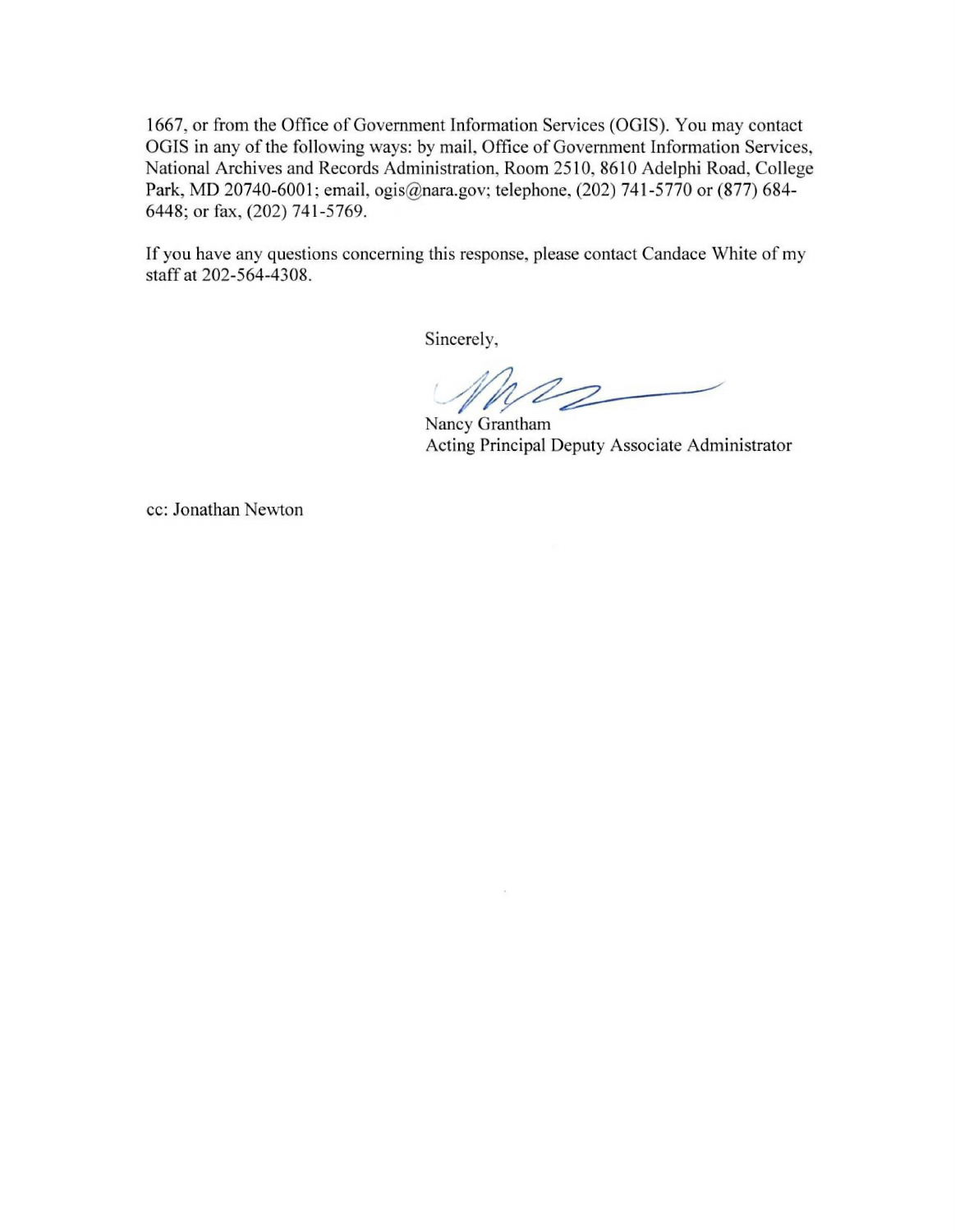1667, or from the Office of Government Information Services (OGIS). You may contact OGIS in any of the following ways: by mail, Office of Government Information Services National Archives and Records Administration, Room 2510, 8610 Adelphi Road, College Park, MD 20740-6001; email, ogis@nara.gov; telephone, (202) 741 -5770 or (877) 684- 6448; or fax, (202) 741-5769.

If you have any questions concerning this response, please contact Candace White of my staff at 202-564-4308.

Sincerely,

 $\bar{\lambda}$ 

*'\_ #J* 

Nancy Grantham Acting Principal Deputy Associate Administrator

cc: Jonathan Newton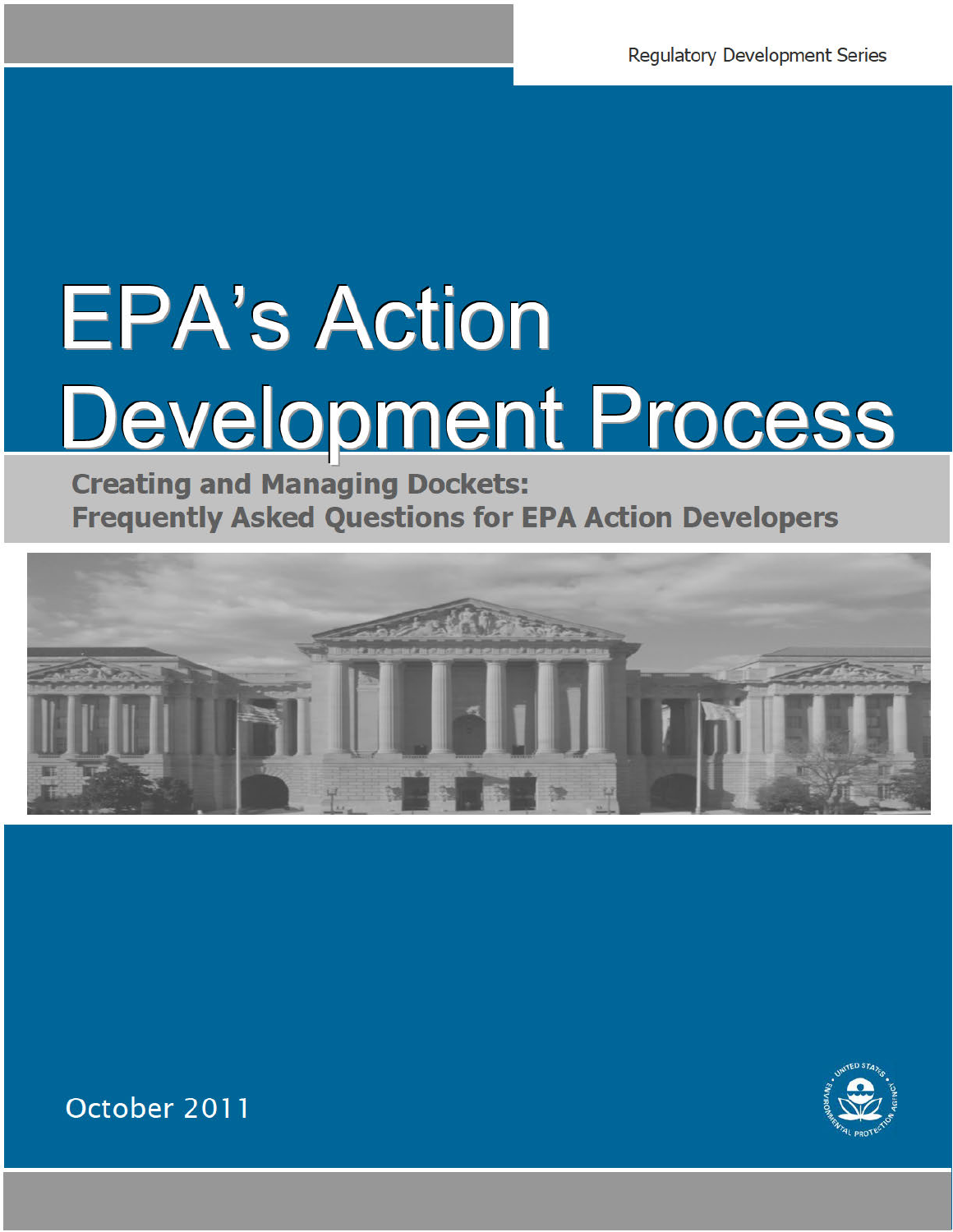# **EPA's Action** Development Process

**Creating and Managing Dockets: Frequently Asked Questions for EPA Action Developers** 





October 2011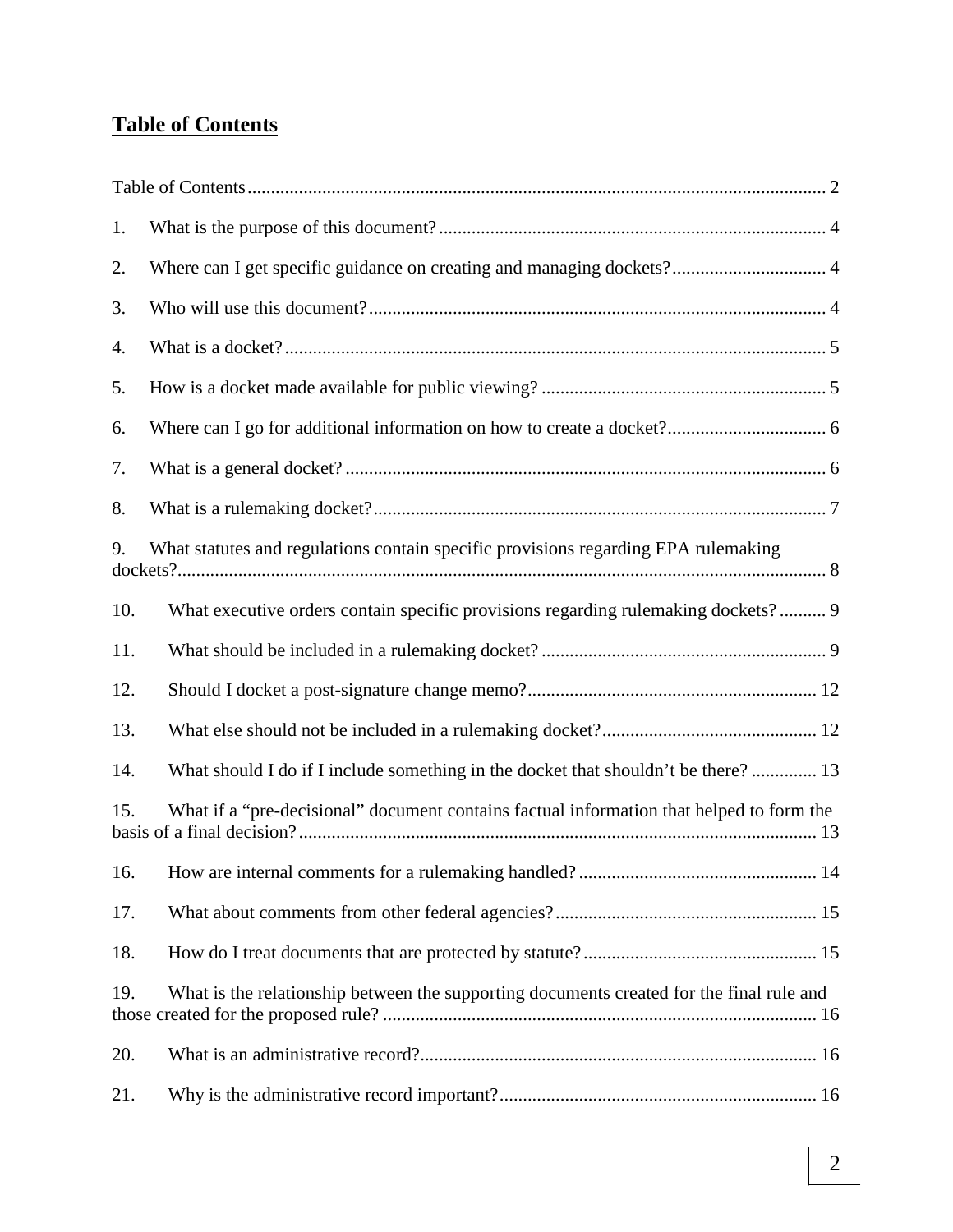# **Table of Contents**

| 1.  |                                                                                          |  |
|-----|------------------------------------------------------------------------------------------|--|
| 2.  |                                                                                          |  |
| 3.  |                                                                                          |  |
| 4.  |                                                                                          |  |
| 5.  |                                                                                          |  |
| 6.  |                                                                                          |  |
| 7.  |                                                                                          |  |
| 8.  |                                                                                          |  |
| 9.  | What statutes and regulations contain specific provisions regarding EPA rulemaking       |  |
| 10. | What executive orders contain specific provisions regarding rulemaking dockets? 9        |  |
| 11. |                                                                                          |  |
| 12. |                                                                                          |  |
| 13. |                                                                                          |  |
| 14. | What should I do if I include something in the docket that shouldn't be there? 13        |  |
| 15. | What if a "pre-decisional" document contains factual information that helped to form the |  |
|     |                                                                                          |  |
| 17. |                                                                                          |  |
| 18. |                                                                                          |  |
| 19. | What is the relationship between the supporting documents created for the final rule and |  |
| 20. |                                                                                          |  |
| 21. |                                                                                          |  |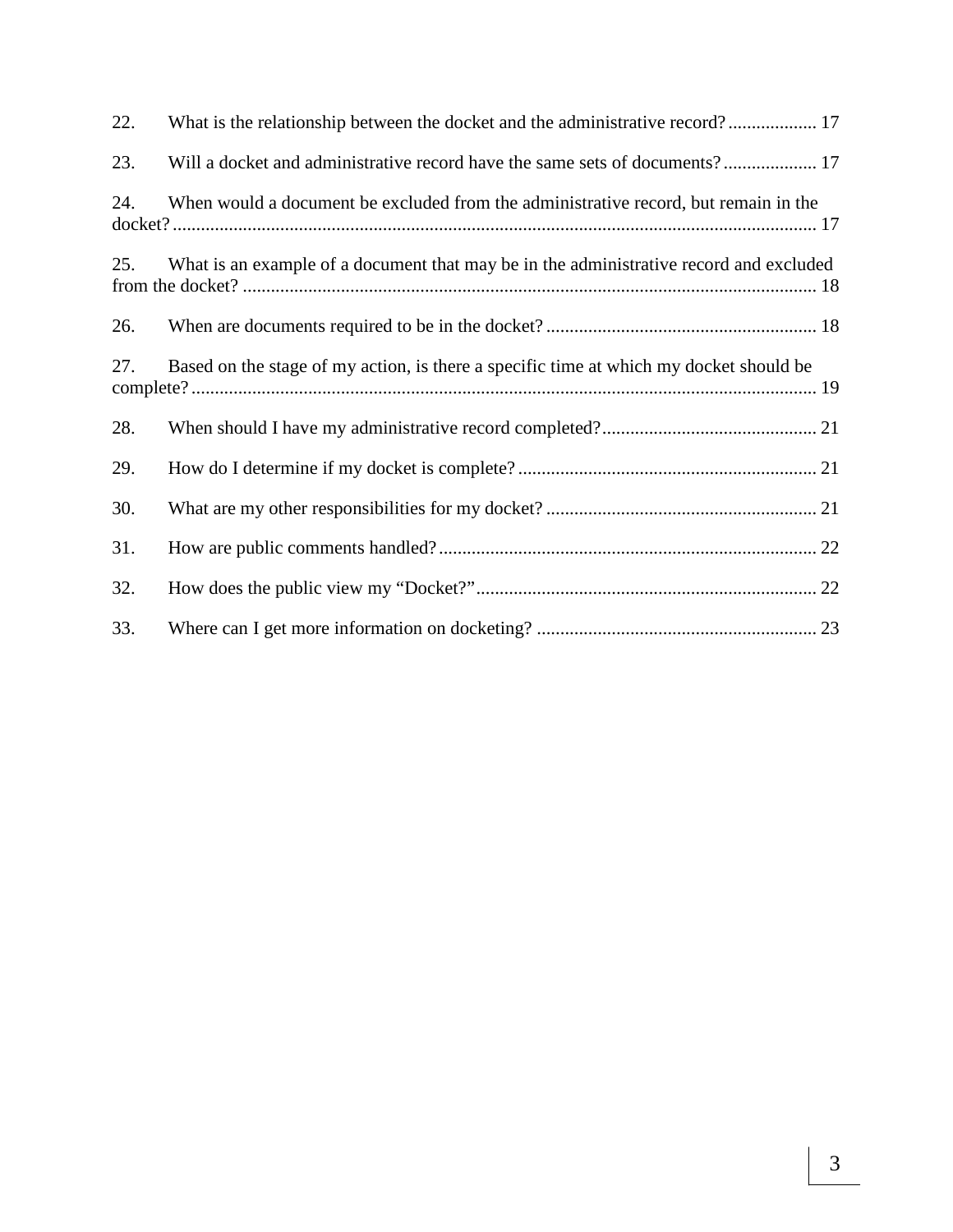| 22. | What is the relationship between the docket and the administrative record? 17          |
|-----|----------------------------------------------------------------------------------------|
| 23. |                                                                                        |
| 24. | When would a document be excluded from the administrative record, but remain in the    |
| 25. | What is an example of a document that may be in the administrative record and excluded |
| 26. |                                                                                        |
| 27. | Based on the stage of my action, is there a specific time at which my docket should be |
| 28. |                                                                                        |
| 29. |                                                                                        |
| 30. |                                                                                        |
| 31. |                                                                                        |
| 32. |                                                                                        |
| 33. |                                                                                        |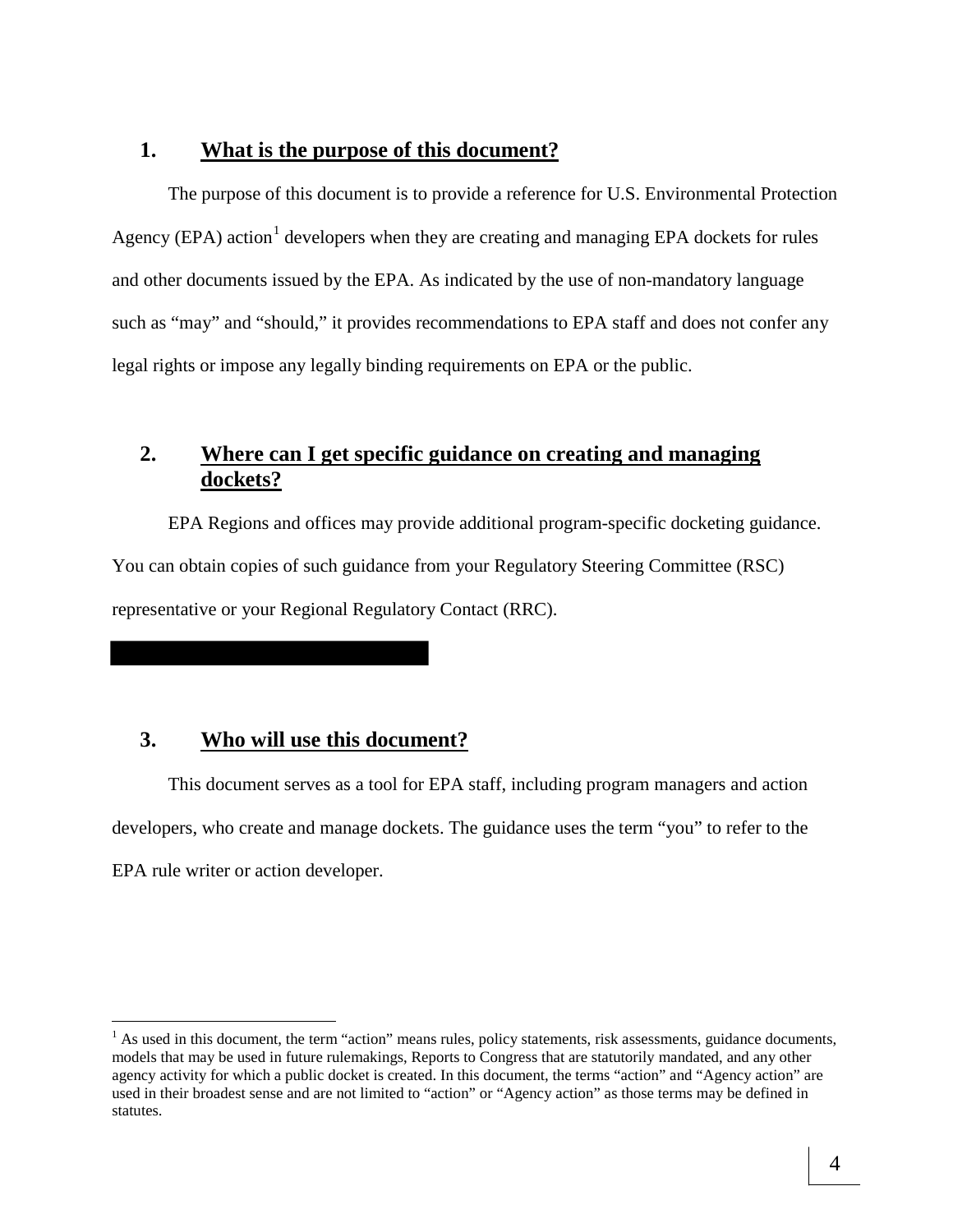#### **1. What is the purpose of this document?**

The purpose of this document is to provide a reference for U.S. Environmental Protection Agency (EPA) action<sup>1</sup> developers when they are creating and managing EPA dockets for rules and other documents issued by the EPA. As indicated by the use of non-mandatory language such as "may" and "should," it provides recommendations to EPA staff and does not confer any legal rights or impose any legally binding requirements on EPA or the public.

# **2. Where can I get specific guidance on creating and managing dockets?**

EPA Regions and offices may provide additional program-specific docketing guidance. You can obtain copies of such guidance from your Regulatory Steering Committee (RSC) representative or your Regional Regulatory Contact (RRC).

#### **3. Who will use this document?**

 $\overline{a}$ 

This document serves as a tool for EPA staff, including program managers and action developers, who create and manage dockets. The guidance uses the term "you" to refer to the EPA rule writer or action developer.

 $<sup>1</sup>$  As used in this document, the term "action" means rules, policy statements, risk assessments, guidance documents,</sup> models that may be used in future rulemakings, Reports to Congress that are statutorily mandated, and any other agency activity for which a public docket is created. In this document, the terms "action" and "Agency action" are used in their broadest sense and are not limited to "action" or "Agency action" as those terms may be defined in statutes.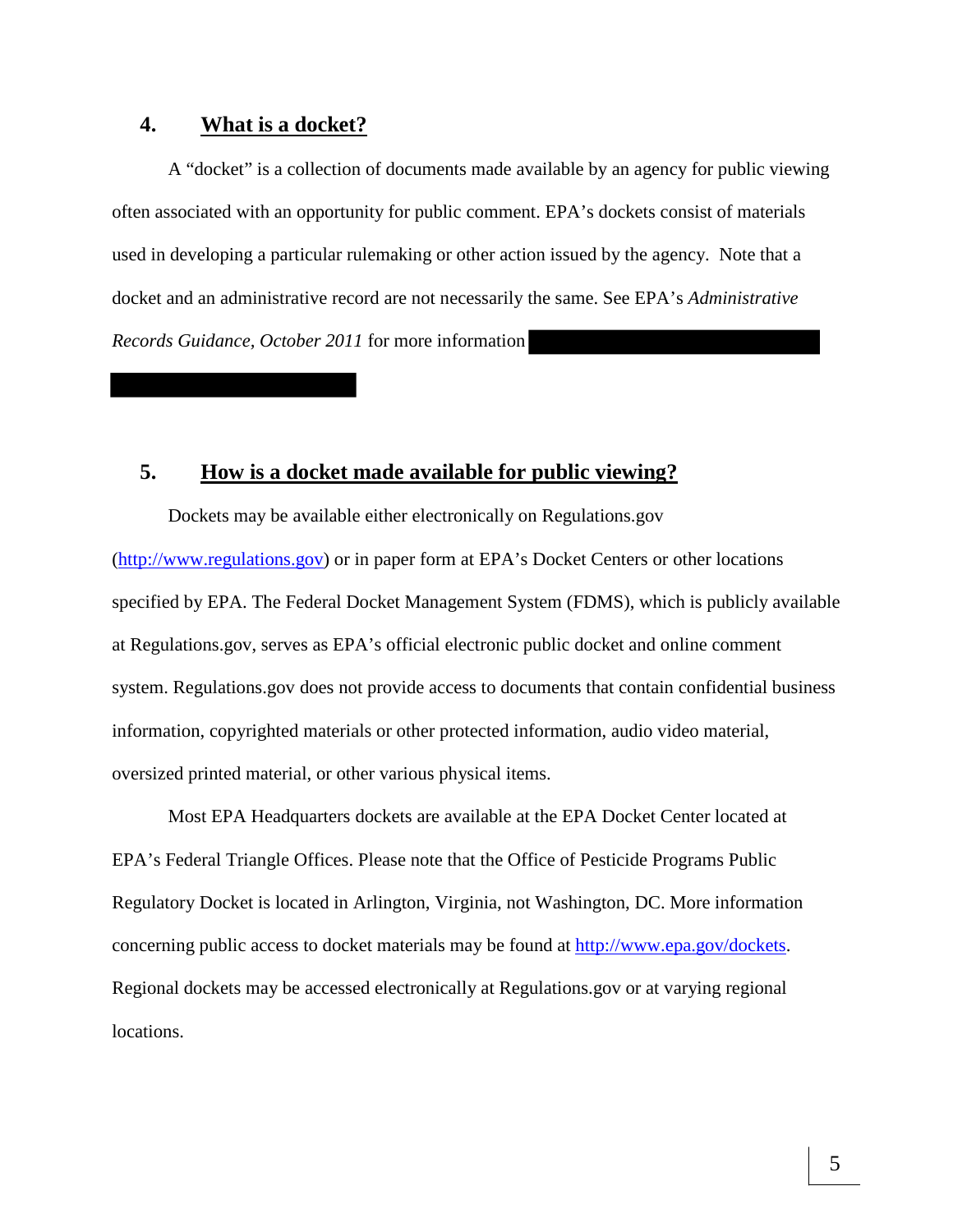#### **4. What is a docket?**

A "docket" is a collection of documents made available by an agency for public viewing often associated with an opportunity for public comment. EPA's dockets consist of materials used in developing a particular rulemaking or other action issued by the agency. Note that a docket and an administrative record are not necessarily the same. See EPA's *Administrative Records Guidance, October 2011* for more information

## **5. How is a docket made available for public viewing?**

Dockets may be available either electronically on Regulations.gov (http://www.regulations.gov) or in paper form at EPA's Docket Centers or other locations specified by EPA. The Federal Docket Management System (FDMS), which is publicly available at Regulations.gov, serves as EPA's official electronic public docket and online comment system. Regulations.gov does not provide access to documents that contain confidential business information, copyrighted materials or other protected information, audio video material, oversized printed material, or other various physical items.

Most EPA Headquarters dockets are available at the EPA Docket Center located at EPA's Federal Triangle Offices. Please note that the Office of Pesticide Programs Public Regulatory Docket is located in Arlington, Virginia, not Washington, DC. More information concerning public access to docket materials may be found at http://www.epa.gov/dockets. Regional dockets may be accessed electronically at Regulations.gov or at varying regional locations.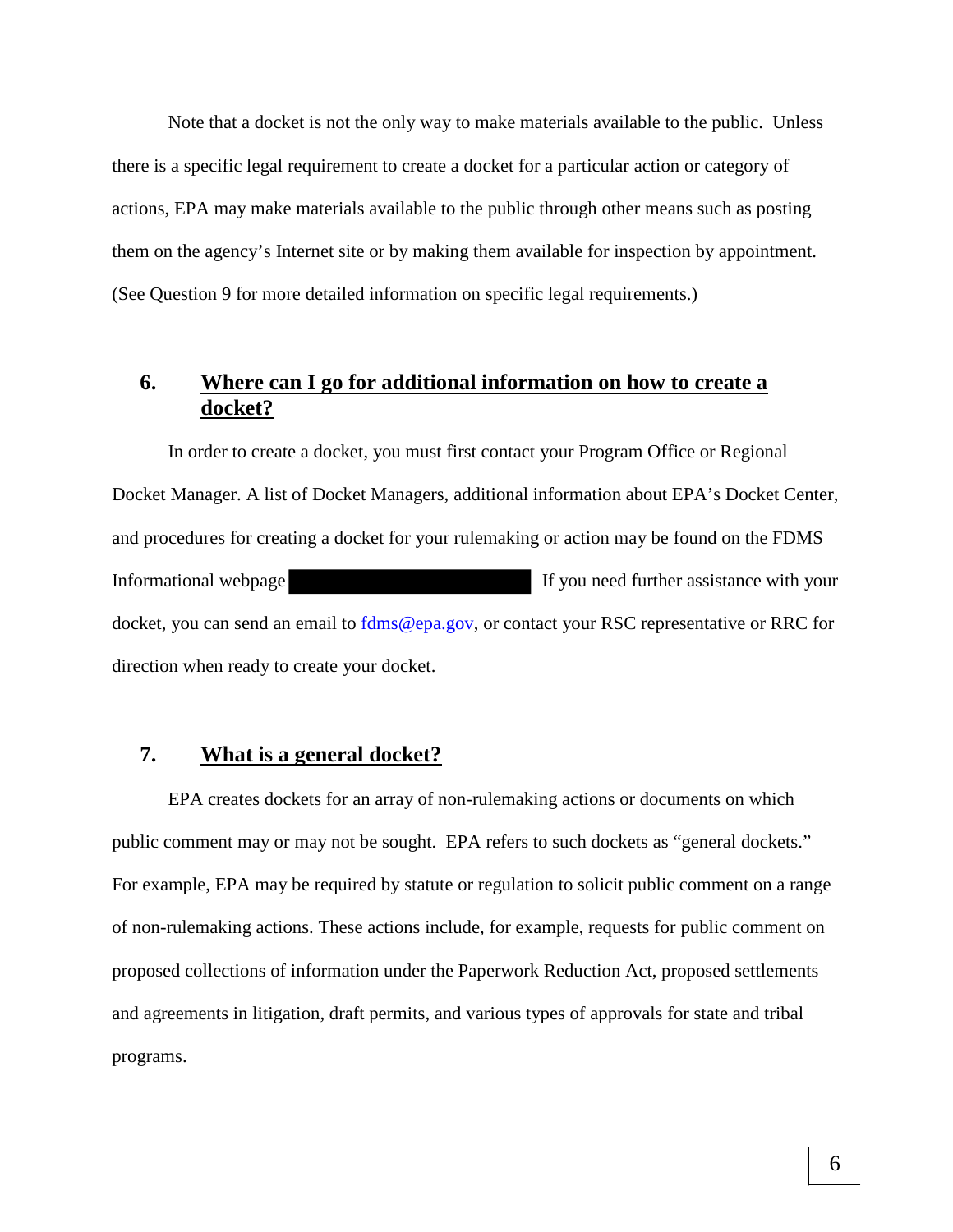Note that a docket is not the only way to make materials available to the public. Unless there is a specific legal requirement to create a docket for a particular action or category of actions, EPA may make materials available to the public through other means such as posting them on the agency's Internet site or by making them available for inspection by appointment. (See Question 9 for more detailed information on specific legal requirements.)

# **6. Where can I go for additional information on how to create a docket?**

In order to create a docket, you must first contact your Program Office or Regional Docket Manager. A list of Docket Managers, additional information about EPA's Docket Center, and procedures for creating a docket for your rulemaking or action may be found on the FDMS Informational webpage If you need further assistance with your docket, you can send an email to fdms@epa.gov, or contact your RSC representative or RRC for direction when ready to create your docket.

#### **7. What is a general docket?**

EPA creates dockets for an array of non-rulemaking actions or documents on which public comment may or may not be sought. EPA refers to such dockets as "general dockets." For example, EPA may be required by statute or regulation to solicit public comment on a range of non-rulemaking actions. These actions include, for example, requests for public comment on proposed collections of information under the Paperwork Reduction Act, proposed settlements and agreements in litigation, draft permits, and various types of approvals for state and tribal programs.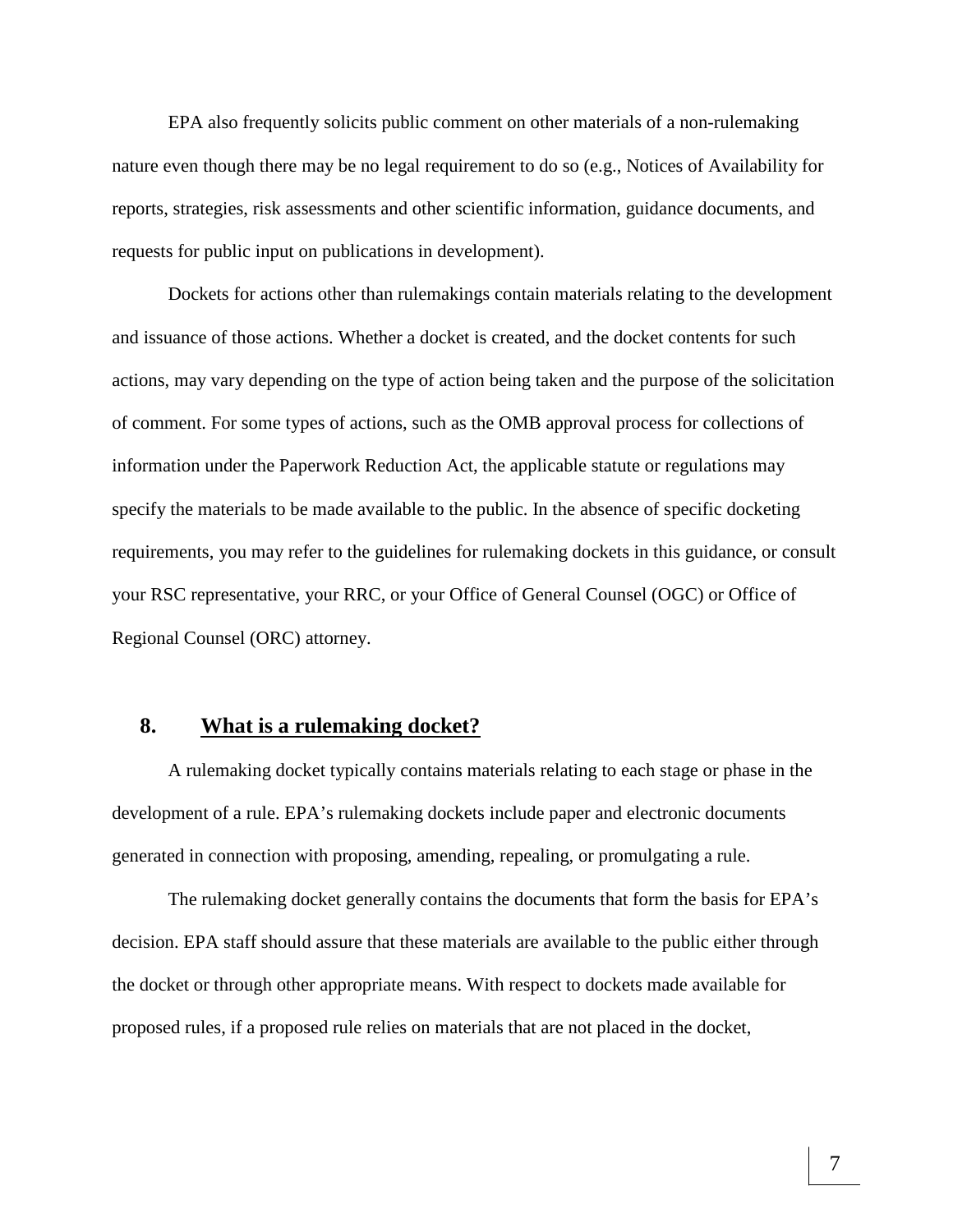EPA also frequently solicits public comment on other materials of a non-rulemaking nature even though there may be no legal requirement to do so (e.g., Notices of Availability for reports, strategies, risk assessments and other scientific information, guidance documents, and requests for public input on publications in development).

Dockets for actions other than rulemakings contain materials relating to the development and issuance of those actions. Whether a docket is created, and the docket contents for such actions, may vary depending on the type of action being taken and the purpose of the solicitation of comment. For some types of actions, such as the OMB approval process for collections of information under the Paperwork Reduction Act, the applicable statute or regulations may specify the materials to be made available to the public. In the absence of specific docketing requirements, you may refer to the guidelines for rulemaking dockets in this guidance, or consult your RSC representative, your RRC, or your Office of General Counsel (OGC) or Office of Regional Counsel (ORC) attorney.

#### **8. What is a rulemaking docket?**

A rulemaking docket typically contains materials relating to each stage or phase in the development of a rule. EPA's rulemaking dockets include paper and electronic documents generated in connection with proposing, amending, repealing, or promulgating a rule.

The rulemaking docket generally contains the documents that form the basis for EPA's decision. EPA staff should assure that these materials are available to the public either through the docket or through other appropriate means. With respect to dockets made available for proposed rules, if a proposed rule relies on materials that are not placed in the docket,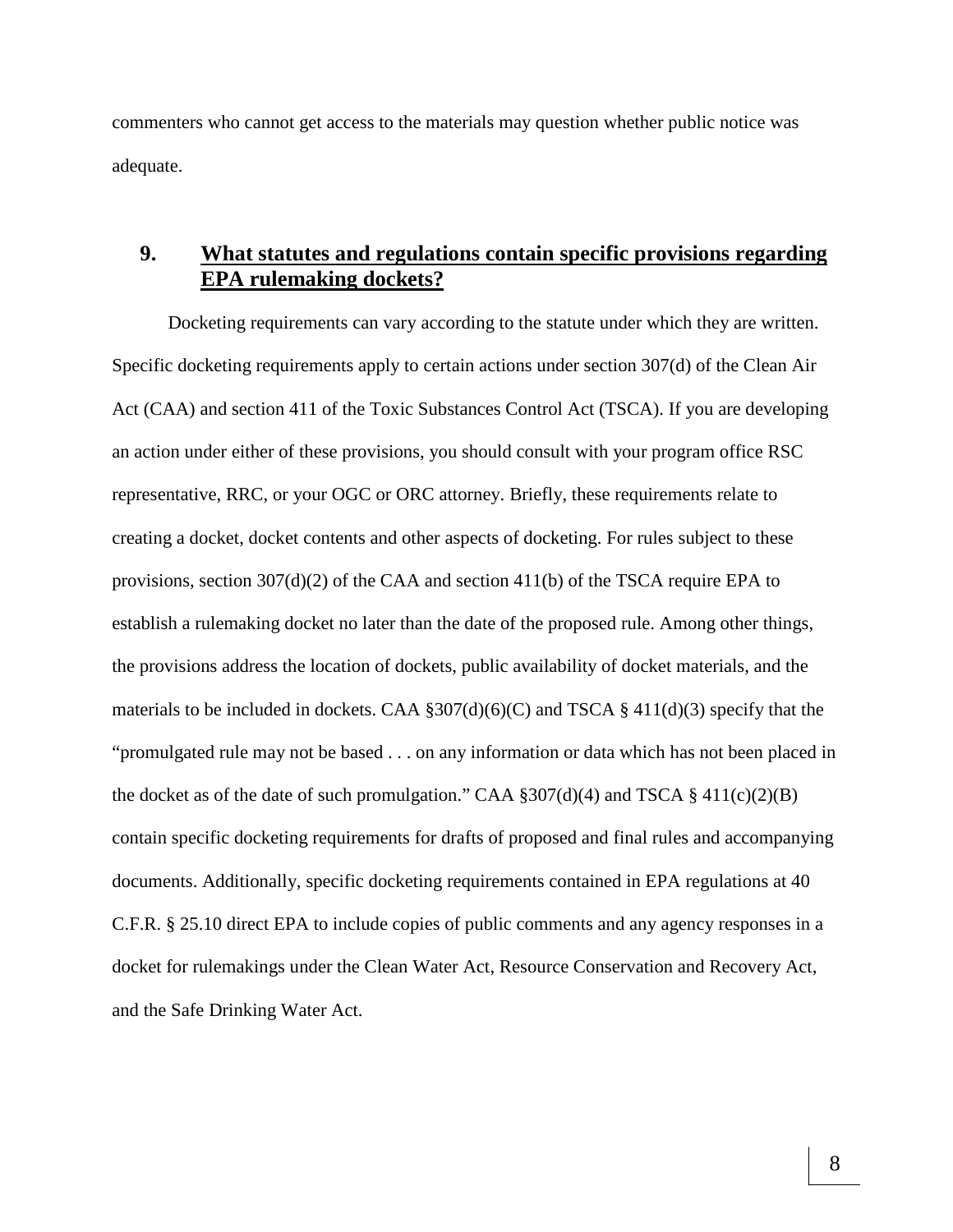commenters who cannot get access to the materials may question whether public notice was adequate.

# **9. What statutes and regulations contain specific provisions regarding EPA rulemaking dockets?**

Docketing requirements can vary according to the statute under which they are written. Specific docketing requirements apply to certain actions under section 307(d) of the Clean Air Act (CAA) and section 411 of the Toxic Substances Control Act (TSCA). If you are developing an action under either of these provisions, you should consult with your program office RSC representative, RRC, or your OGC or ORC attorney. Briefly, these requirements relate to creating a docket, docket contents and other aspects of docketing. For rules subject to these provisions, section 307(d)(2) of the CAA and section 411(b) of the TSCA require EPA to establish a rulemaking docket no later than the date of the proposed rule. Among other things, the provisions address the location of dockets, public availability of docket materials, and the materials to be included in dockets. CAA  $\S 307(d)(6)(C)$  and TSCA  $\S 411(d)(3)$  specify that the "promulgated rule may not be based . . . on any information or data which has not been placed in the docket as of the date of such promulgation." CAA  $\S 307(d)(4)$  and TSCA  $\S 411(c)(2)(B)$ contain specific docketing requirements for drafts of proposed and final rules and accompanying documents. Additionally, specific docketing requirements contained in EPA regulations at 40 C.F.R. § 25.10 direct EPA to include copies of public comments and any agency responses in a docket for rulemakings under the Clean Water Act, Resource Conservation and Recovery Act, and the Safe Drinking Water Act.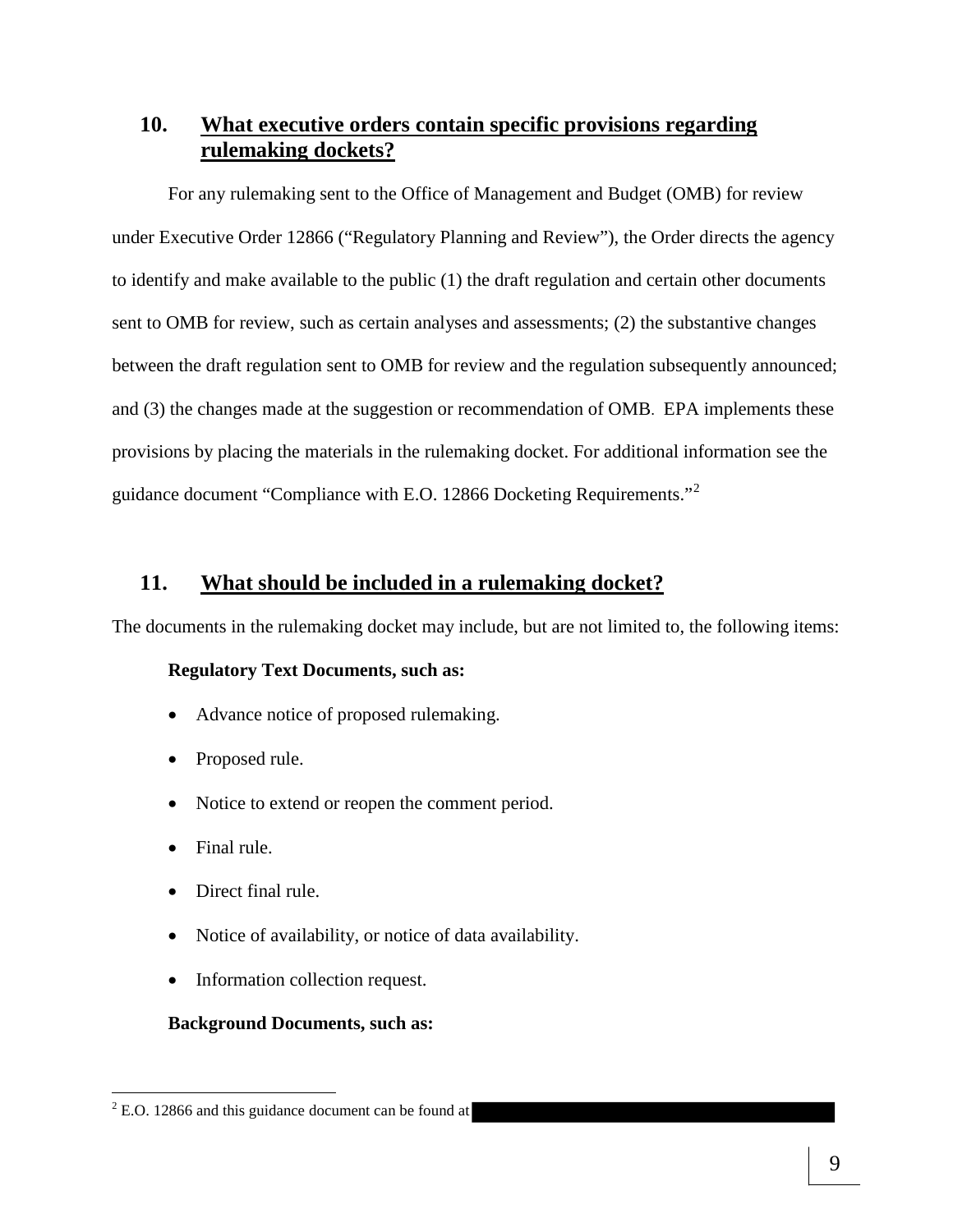# **10. What executive orders contain specific provisions regarding rulemaking dockets?**

For any rulemaking sent to the Office of Management and Budget (OMB) for review under Executive Order 12866 ("Regulatory Planning and Review"), the Order directs the agency to identify and make available to the public (1) the draft regulation and certain other documents sent to OMB for review, such as certain analyses and assessments; (2) the substantive changes between the draft regulation sent to OMB for review and the regulation subsequently announced; and (3) the changes made at the suggestion or recommendation of OMB. EPA implements these provisions by placing the materials in the rulemaking docket. For additional information see the guidance document "Compliance with E.O. 12866 Docketing Requirements."<sup>2</sup>

#### **11. What should be included in a rulemaking docket?**

The documents in the rulemaking docket may include, but are not limited to, the following items:

#### **Regulatory Text Documents, such as:**

- Advance notice of proposed rulemaking.
- Proposed rule.
- Notice to extend or reopen the comment period.
- Final rule.

 $\overline{a}$ 

- Direct final rule.
- Notice of availability, or notice of data availability.
- Information collection request.

#### **Background Documents, such as:**

 $2$  E.O. 12866 and this guidance document can be found at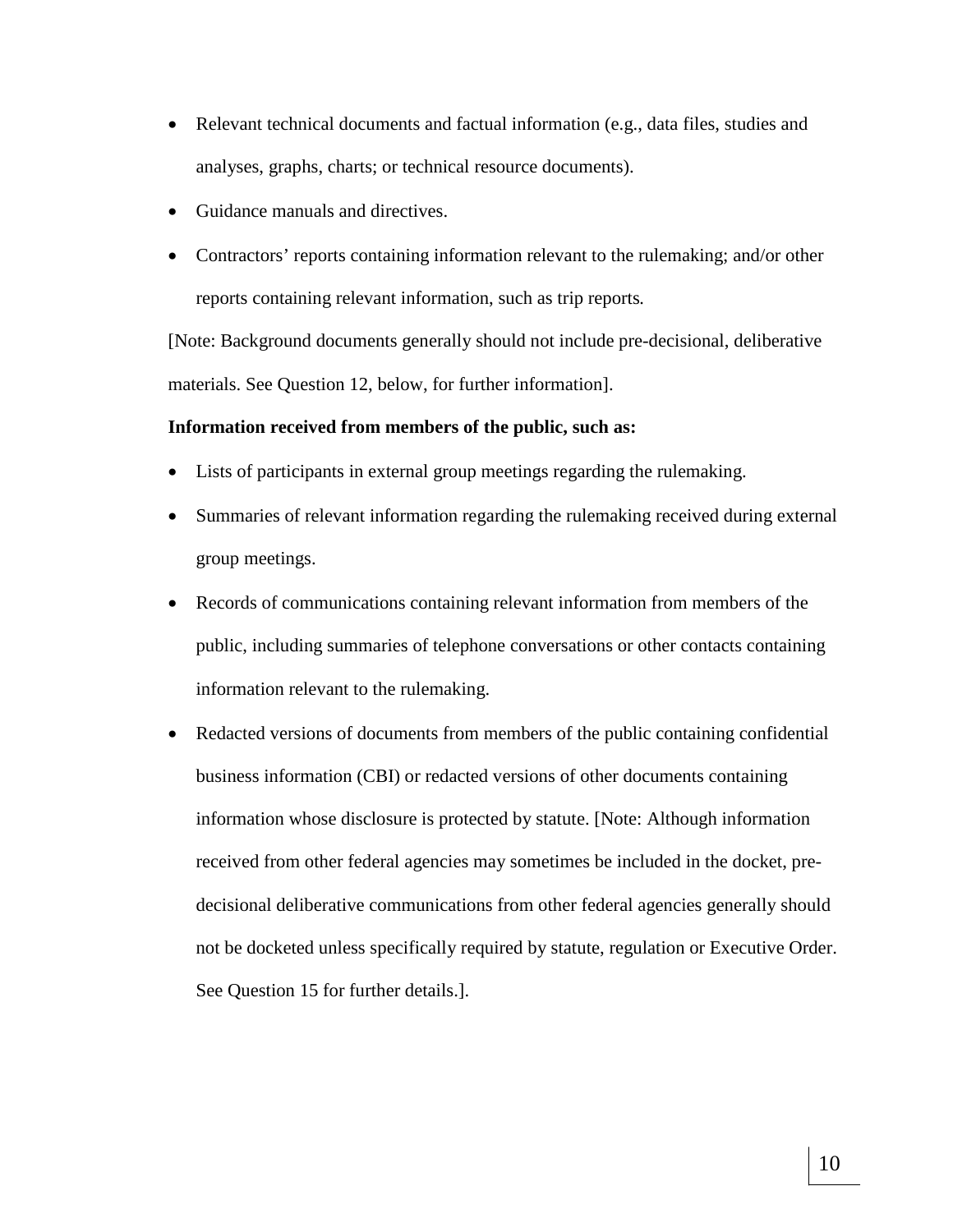- Relevant technical documents and factual information (e.g., data files, studies and analyses, graphs, charts; or technical resource documents).
- Guidance manuals and directives.
- Contractors' reports containing information relevant to the rulemaking; and/or other reports containing relevant information, such as trip reports*.*

[Note: Background documents generally should not include pre-decisional, deliberative materials. See Question 12, below, for further information].

#### **Information received from members of the public, such as:**

- Lists of participants in external group meetings regarding the rulemaking.
- Summaries of relevant information regarding the rulemaking received during external group meetings.
- Records of communications containing relevant information from members of the public, including summaries of telephone conversations or other contacts containing information relevant to the rulemaking.
- Redacted versions of documents from members of the public containing confidential business information (CBI) or redacted versions of other documents containing information whose disclosure is protected by statute. [Note: Although information received from other federal agencies may sometimes be included in the docket, predecisional deliberative communications from other federal agencies generally should not be docketed unless specifically required by statute, regulation or Executive Order. See Question 15 for further details.].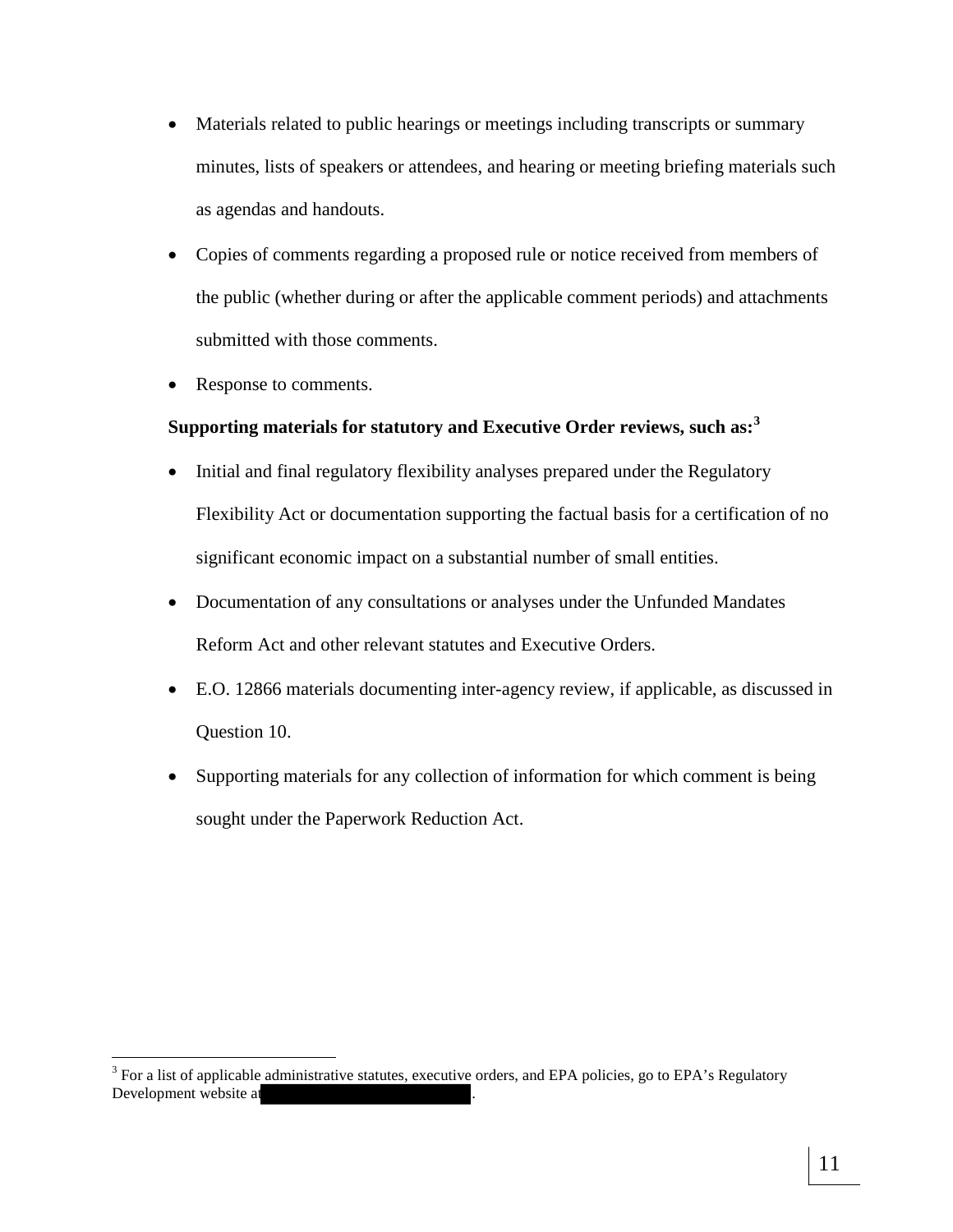- Materials related to public hearings or meetings including transcripts or summary minutes, lists of speakers or attendees, and hearing or meeting briefing materials such as agendas and handouts.
- Copies of comments regarding a proposed rule or notice received from members of the public (whether during or after the applicable comment periods) and attachments submitted with those comments.
- Response to comments.

 $\overline{a}$ 

## **Supporting materials for statutory and Executive Order reviews, such as:<sup>3</sup>**

- Initial and final regulatory flexibility analyses prepared under the Regulatory Flexibility Act or documentation supporting the factual basis for a certification of no significant economic impact on a substantial number of small entities.
- Documentation of any consultations or analyses under the Unfunded Mandates Reform Act and other relevant statutes and Executive Orders.
- E.O. 12866 materials documenting inter-agency review, if applicable, as discussed in Question 10.
- Supporting materials for any collection of information for which comment is being sought under the Paperwork Reduction Act.

<sup>&</sup>lt;sup>3</sup> For a list of applicable administrative statutes, executive orders, and EPA policies, go to EPA's Regulatory Development website at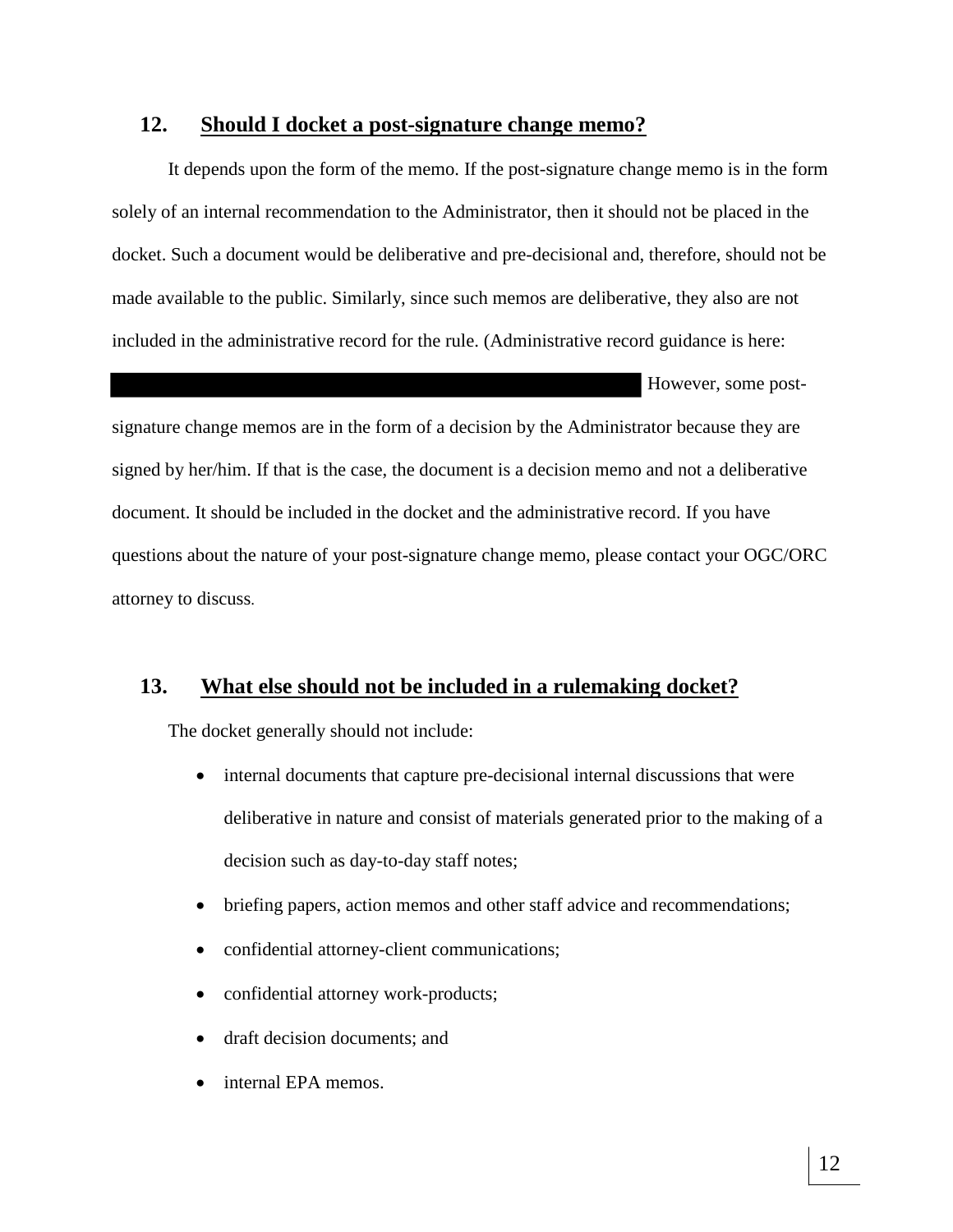#### **12. Should I docket a post-signature change memo?**

It depends upon the form of the memo. If the post-signature change memo is in the form solely of an internal recommendation to the Administrator, then it should not be placed in the docket. Such a document would be deliberative and pre-decisional and, therefore, should not be made available to the public. Similarly, since such memos are deliberative, they also are not included in the administrative record for the rule. (Administrative record guidance is here:

However, some post-

signature change memos are in the form of a decision by the Administrator because they are signed by her/him. If that is the case, the document is a decision memo and not a deliberative document. It should be included in the docket and the administrative record. If you have questions about the nature of your post-signature change memo, please contact your OGC/ORC attorney to discuss.

#### **13. What else should not be included in a rulemaking docket?**

The docket generally should not include:

- internal documents that capture pre-decisional internal discussions that were deliberative in nature and consist of materials generated prior to the making of a decision such as day-to-day staff notes;
- briefing papers, action memos and other staff advice and recommendations;
- confidential attorney-client communications;
- confidential attorney work-products;
- draft decision documents; and
- internal EPA memos.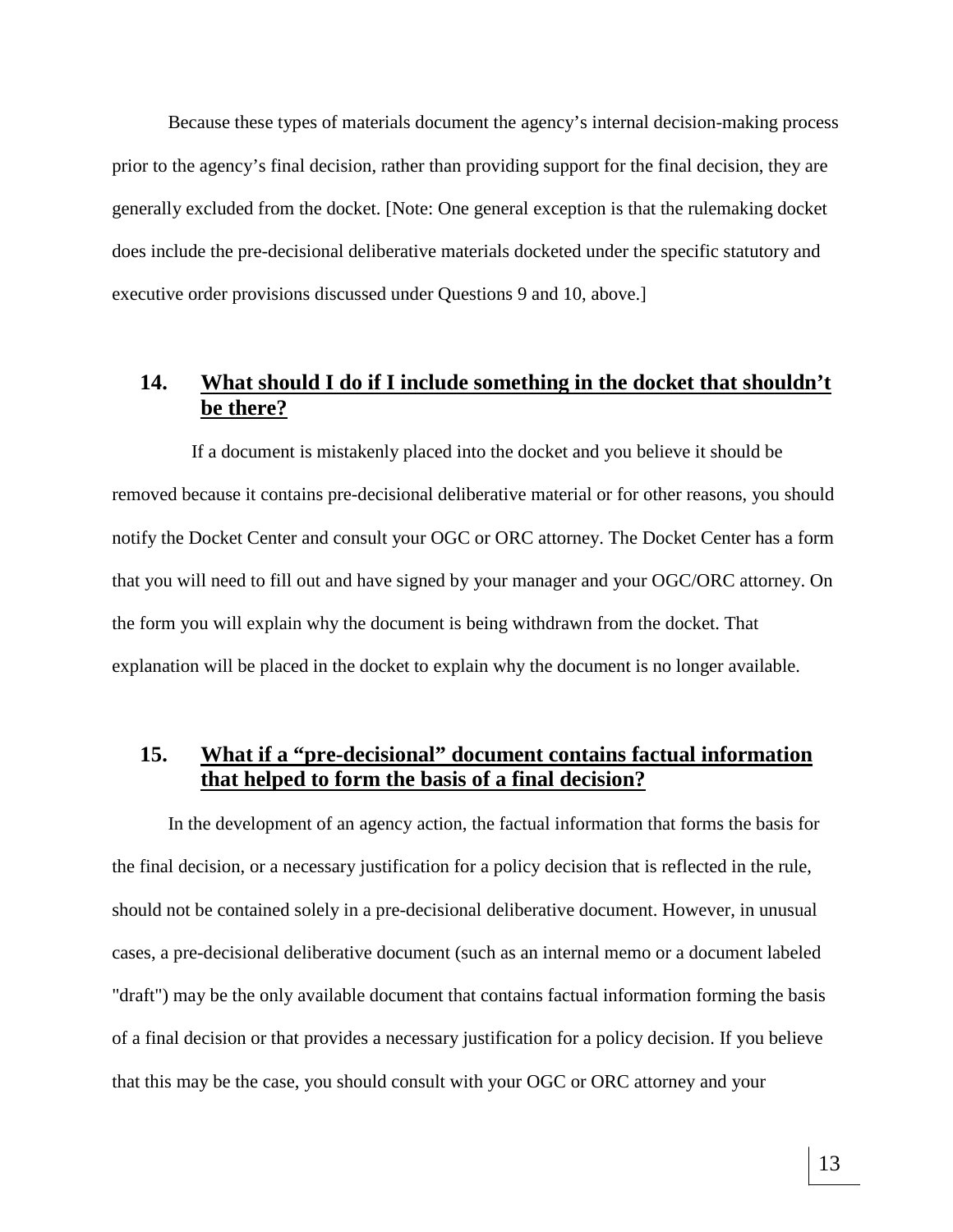Because these types of materials document the agency's internal decision-making process prior to the agency's final decision, rather than providing support for the final decision, they are generally excluded from the docket. [Note: One general exception is that the rulemaking docket does include the pre-decisional deliberative materials docketed under the specific statutory and executive order provisions discussed under Questions 9 and 10, above.]

# **14. What should I do if I include something in the docket that shouldn't be there?**

 If a document is mistakenly placed into the docket and you believe it should be removed because it contains pre-decisional deliberative material or for other reasons, you should notify the Docket Center and consult your OGC or ORC attorney. The Docket Center has a form that you will need to fill out and have signed by your manager and your OGC/ORC attorney. On the form you will explain why the document is being withdrawn from the docket. That explanation will be placed in the docket to explain why the document is no longer available.

# **15. What if a "pre-decisional" document contains factual information that helped to form the basis of a final decision?**

In the development of an agency action, the factual information that forms the basis for the final decision, or a necessary justification for a policy decision that is reflected in the rule, should not be contained solely in a pre-decisional deliberative document. However, in unusual cases, a pre-decisional deliberative document (such as an internal memo or a document labeled "draft") may be the only available document that contains factual information forming the basis of a final decision or that provides a necessary justification for a policy decision. If you believe that this may be the case, you should consult with your OGC or ORC attorney and your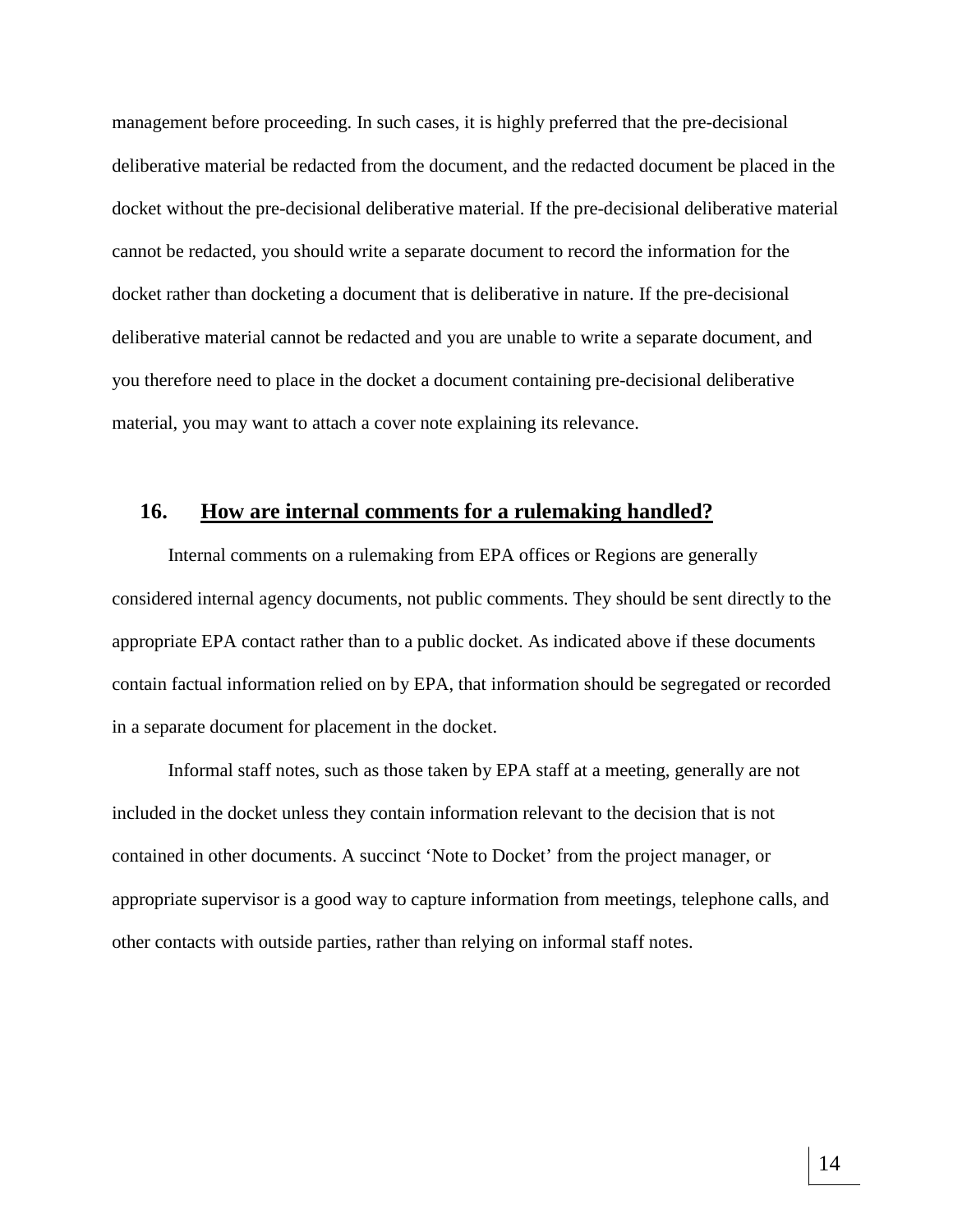management before proceeding. In such cases, it is highly preferred that the pre-decisional deliberative material be redacted from the document, and the redacted document be placed in the docket without the pre-decisional deliberative material. If the pre-decisional deliberative material cannot be redacted, you should write a separate document to record the information for the docket rather than docketing a document that is deliberative in nature. If the pre-decisional deliberative material cannot be redacted and you are unable to write a separate document, and you therefore need to place in the docket a document containing pre-decisional deliberative material, you may want to attach a cover note explaining its relevance.

#### **16. How are internal comments for a rulemaking handled?**

Internal comments on a rulemaking from EPA offices or Regions are generally considered internal agency documents, not public comments. They should be sent directly to the appropriate EPA contact rather than to a public docket. As indicated above if these documents contain factual information relied on by EPA, that information should be segregated or recorded in a separate document for placement in the docket.

Informal staff notes, such as those taken by EPA staff at a meeting, generally are not included in the docket unless they contain information relevant to the decision that is not contained in other documents. A succinct 'Note to Docket' from the project manager, or appropriate supervisor is a good way to capture information from meetings, telephone calls, and other contacts with outside parties, rather than relying on informal staff notes.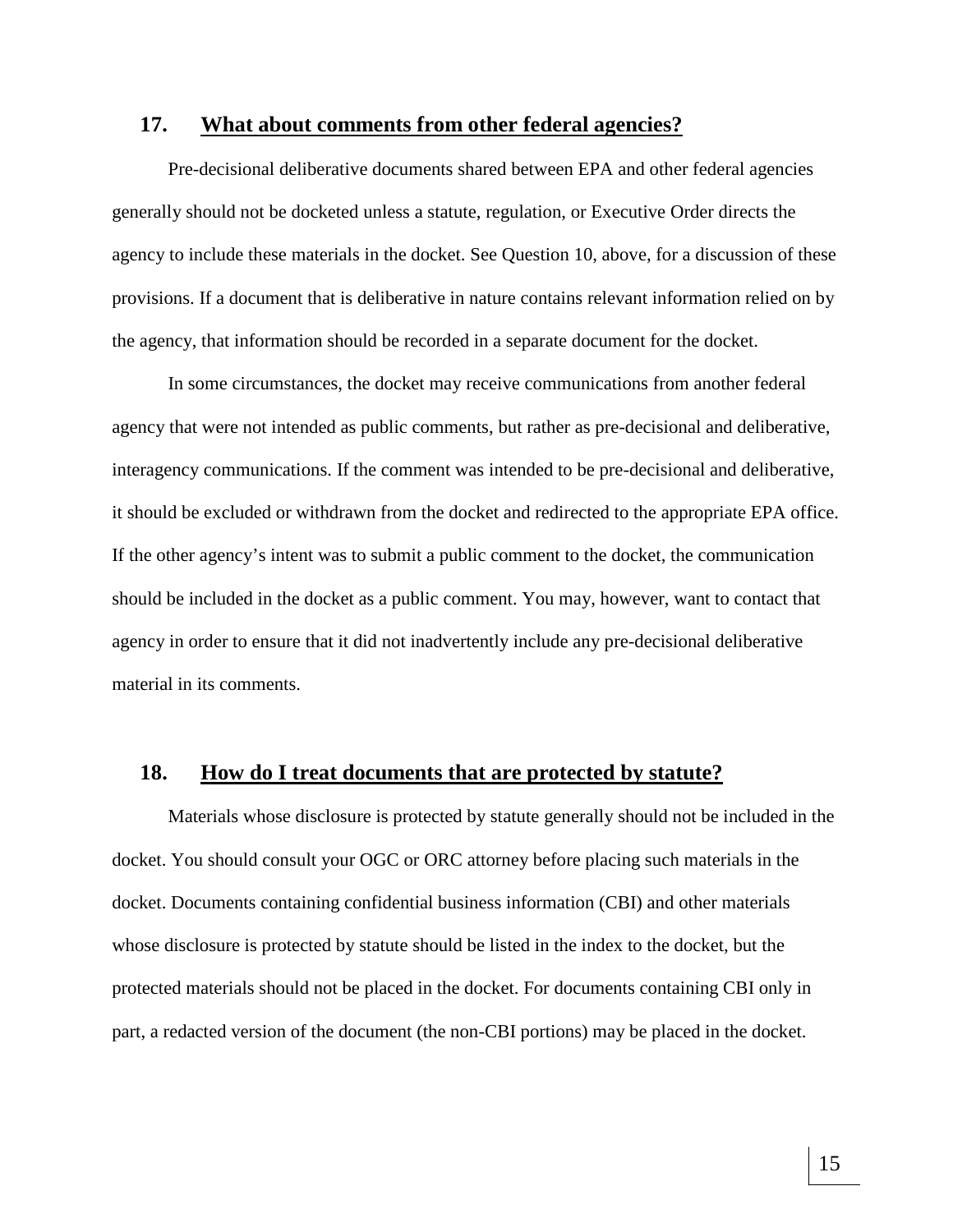#### **17. What about comments from other federal agencies?**

Pre-decisional deliberative documents shared between EPA and other federal agencies generally should not be docketed unless a statute, regulation, or Executive Order directs the agency to include these materials in the docket. See Question 10, above, for a discussion of these provisions. If a document that is deliberative in nature contains relevant information relied on by the agency, that information should be recorded in a separate document for the docket.

In some circumstances, the docket may receive communications from another federal agency that were not intended as public comments, but rather as pre-decisional and deliberative, interagency communications. If the comment was intended to be pre-decisional and deliberative, it should be excluded or withdrawn from the docket and redirected to the appropriate EPA office. If the other agency's intent was to submit a public comment to the docket, the communication should be included in the docket as a public comment. You may, however, want to contact that agency in order to ensure that it did not inadvertently include any pre-decisional deliberative material in its comments.

#### **18. How do I treat documents that are protected by statute?**

Materials whose disclosure is protected by statute generally should not be included in the docket. You should consult your OGC or ORC attorney before placing such materials in the docket. Documents containing confidential business information (CBI) and other materials whose disclosure is protected by statute should be listed in the index to the docket, but the protected materials should not be placed in the docket. For documents containing CBI only in part, a redacted version of the document (the non-CBI portions) may be placed in the docket.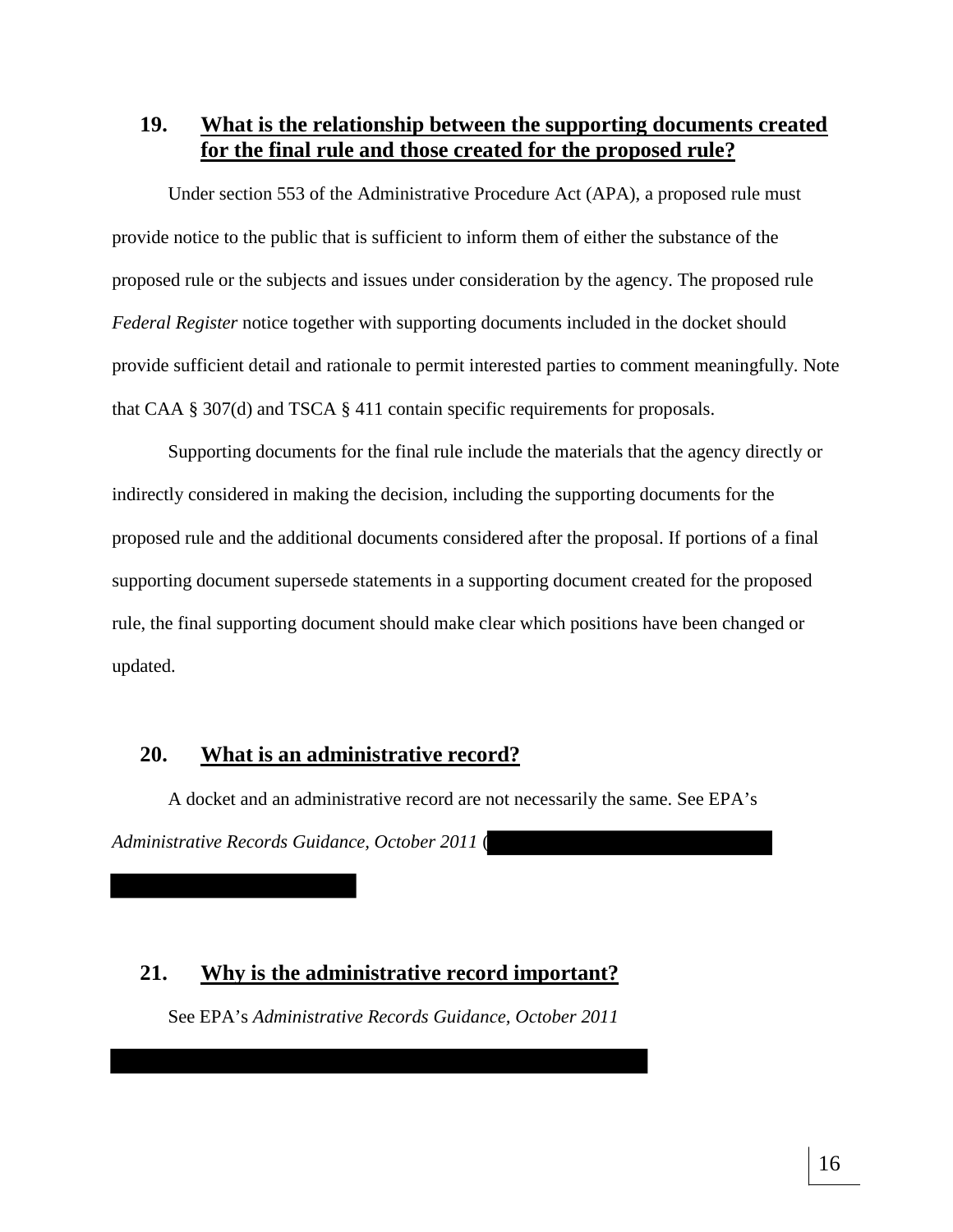**19. What is the relationship between the supporting documents created for the final rule and those created for the proposed rule?**

Under section 553 of the Administrative Procedure Act (APA), a proposed rule must provide notice to the public that is sufficient to inform them of either the substance of the proposed rule or the subjects and issues under consideration by the agency. The proposed rule *Federal Register* notice together with supporting documents included in the docket should provide sufficient detail and rationale to permit interested parties to comment meaningfully. Note that CAA § 307(d) and TSCA § 411 contain specific requirements for proposals.

Supporting documents for the final rule include the materials that the agency directly or indirectly considered in making the decision, including the supporting documents for the proposed rule and the additional documents considered after the proposal. If portions of a final supporting document supersede statements in a supporting document created for the proposed rule, the final supporting document should make clear which positions have been changed or updated.

#### **20. What is an administrative record?**

A docket and an administrative record are not necessarily the same. See EPA's *Administrative Records Guidance, October 2011* (

## **21. Why is the administrative record important?**

See EPA's *Administrative Records Guidance, October 2011*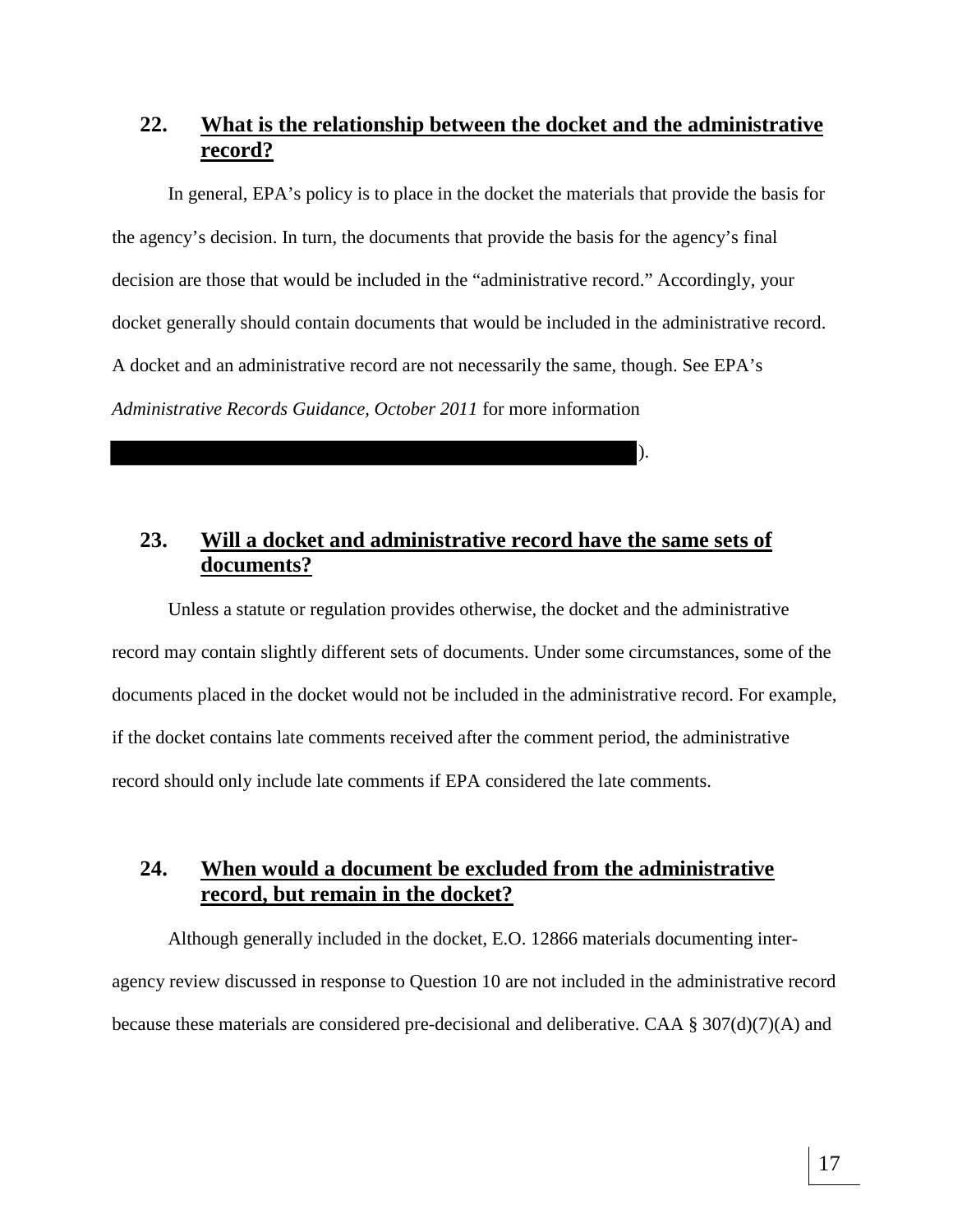# **22. What is the relationship between the docket and the administrative record?**

In general, EPA's policy is to place in the docket the materials that provide the basis for the agency's decision. In turn, the documents that provide the basis for the agency's final decision are those that would be included in the "administrative record." Accordingly, your docket generally should contain documents that would be included in the administrative record. A docket and an administrative record are not necessarily the same, though. See EPA's *Administrative Records Guidance, October 2011* for more information

).

## **23. Will a docket and administrative record have the same sets of documents?**

Unless a statute or regulation provides otherwise, the docket and the administrative record may contain slightly different sets of documents. Under some circumstances, some of the documents placed in the docket would not be included in the administrative record. For example, if the docket contains late comments received after the comment period, the administrative record should only include late comments if EPA considered the late comments.

## **24. When would a document be excluded from the administrative record, but remain in the docket?**

Although generally included in the docket, E.O. 12866 materials documenting interagency review discussed in response to Question 10 are not included in the administrative record because these materials are considered pre-decisional and deliberative. CAA § 307(d)(7)(A) and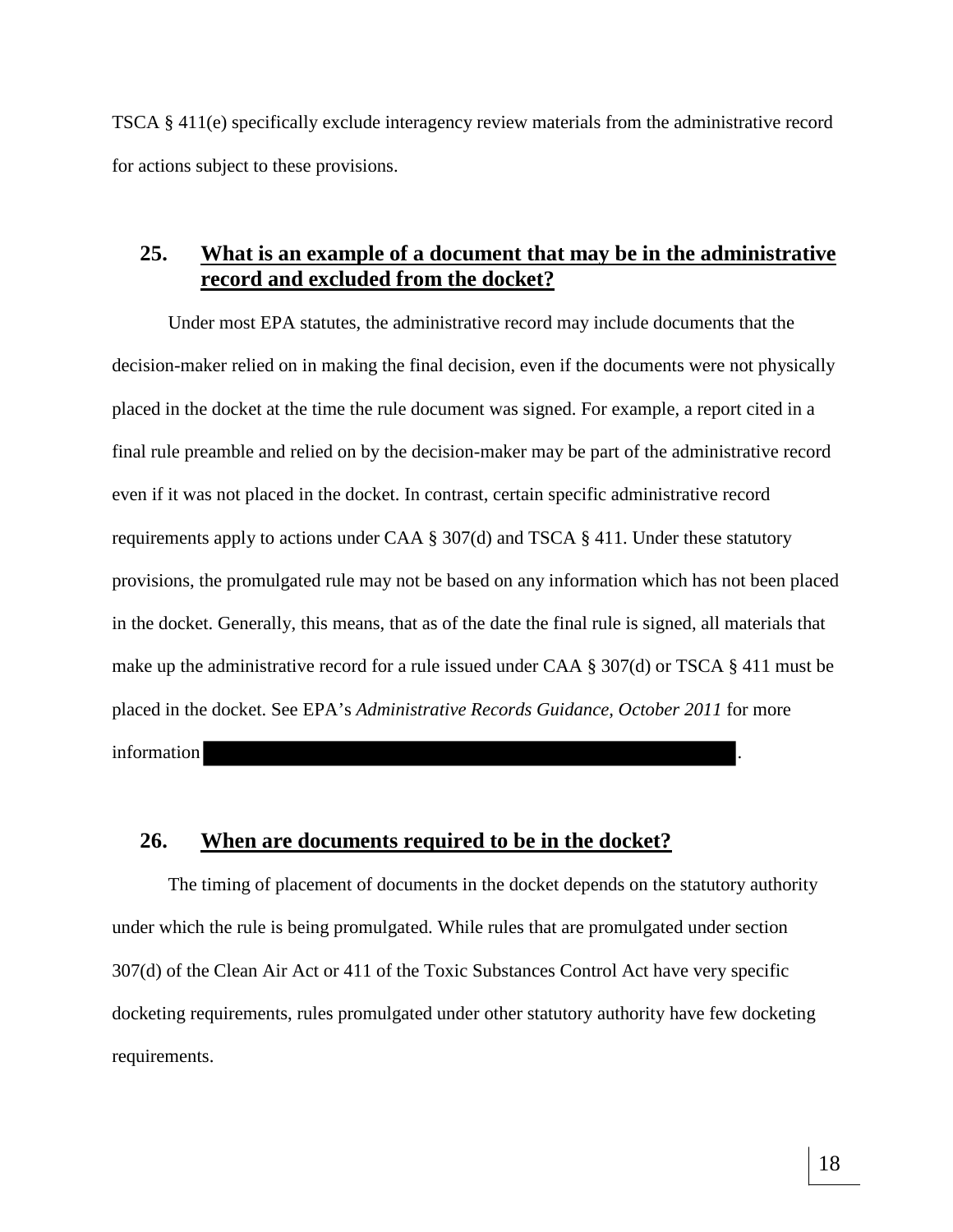TSCA § 411(e) specifically exclude interagency review materials from the administrative record for actions subject to these provisions.

#### **25. What is an example of a document that may be in the administrative record and excluded from the docket?**

Under most EPA statutes, the administrative record may include documents that the decision-maker relied on in making the final decision, even if the documents were not physically placed in the docket at the time the rule document was signed. For example, a report cited in a final rule preamble and relied on by the decision-maker may be part of the administrative record even if it was not placed in the docket. In contrast, certain specific administrative record requirements apply to actions under CAA § 307(d) and TSCA § 411. Under these statutory provisions, the promulgated rule may not be based on any information which has not been placed in the docket. Generally, this means, that as of the date the final rule is signed, all materials that make up the administrative record for a rule issued under CAA § 307(d) or TSCA § 411 must be placed in the docket. See EPA's *Administrative Records Guidance, October 2011* for more information .

#### **26. When are documents required to be in the docket?**

The timing of placement of documents in the docket depends on the statutory authority under which the rule is being promulgated. While rules that are promulgated under section 307(d) of the Clean Air Act or 411 of the Toxic Substances Control Act have very specific docketing requirements, rules promulgated under other statutory authority have few docketing requirements.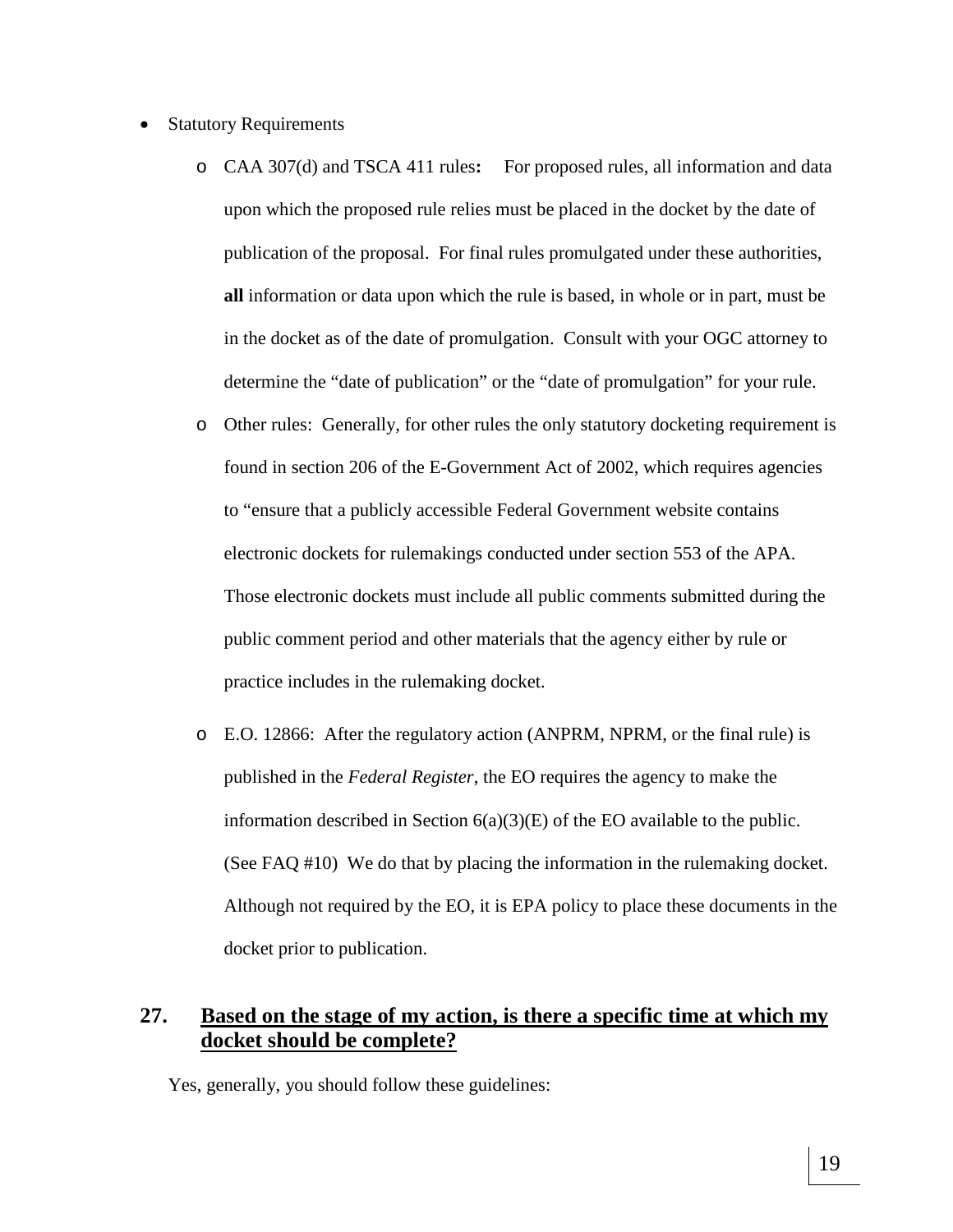- Statutory Requirements
	- o CAA 307(d) and TSCA 411 rules**:** For proposed rules, all information and data upon which the proposed rule relies must be placed in the docket by the date of publication of the proposal. For final rules promulgated under these authorities, **all** information or data upon which the rule is based, in whole or in part, must be in the docket as of the date of promulgation. Consult with your OGC attorney to determine the "date of publication" or the "date of promulgation" for your rule.
	- o Other rules: Generally, for other rules the only statutory docketing requirement is found in section 206 of the E-Government Act of 2002, which requires agencies to "ensure that a publicly accessible Federal Government website contains electronic dockets for rulemakings conducted under section 553 of the APA. Those electronic dockets must include all public comments submitted during the public comment period and other materials that the agency either by rule or practice includes in the rulemaking docket.
	- o E.O. 12866: After the regulatory action (ANPRM, NPRM, or the final rule) is published in the *Federal Register*, the EO requires the agency to make the information described in Section 6(a)(3)(E) of the EO available to the public. (See FAQ #10) We do that by placing the information in the rulemaking docket. Although not required by the EO, it is EPA policy to place these documents in the docket prior to publication.

# **27. Based on the stage of my action, is there a specific time at which my docket should be complete?**

Yes, generally, you should follow these guidelines: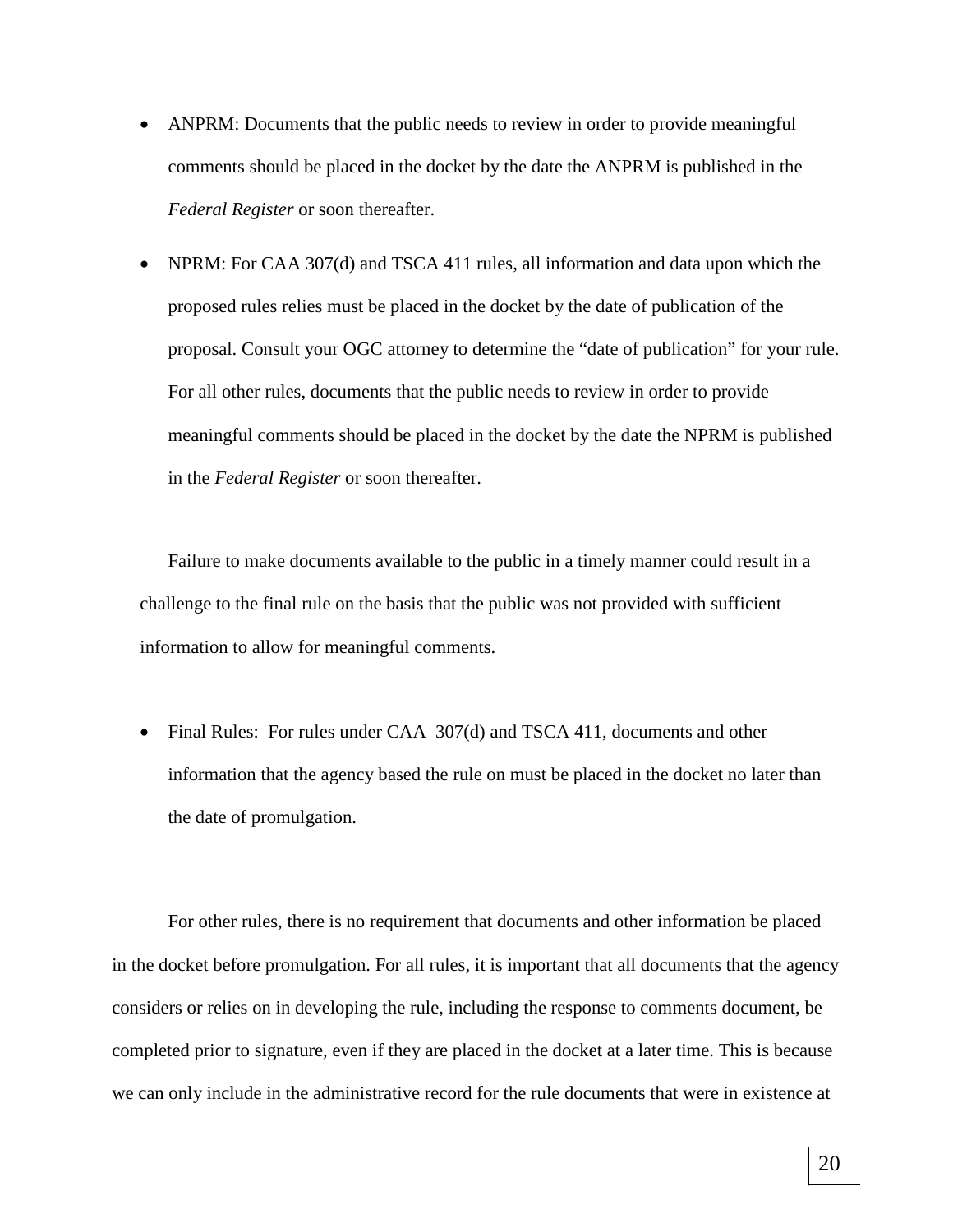- ANPRM: Documents that the public needs to review in order to provide meaningful comments should be placed in the docket by the date the ANPRM is published in the *Federal Register* or soon thereafter.
- NPRM: For CAA 307(d) and TSCA 411 rules, all information and data upon which the proposed rules relies must be placed in the docket by the date of publication of the proposal. Consult your OGC attorney to determine the "date of publication" for your rule. For all other rules, documents that the public needs to review in order to provide meaningful comments should be placed in the docket by the date the NPRM is published in the *Federal Register* or soon thereafter.

Failure to make documents available to the public in a timely manner could result in a challenge to the final rule on the basis that the public was not provided with sufficient information to allow for meaningful comments.

• Final Rules: For rules under CAA 307(d) and TSCA 411, documents and other information that the agency based the rule on must be placed in the docket no later than the date of promulgation.

For other rules, there is no requirement that documents and other information be placed in the docket before promulgation. For all rules, it is important that all documents that the agency considers or relies on in developing the rule, including the response to comments document, be completed prior to signature, even if they are placed in the docket at a later time. This is because we can only include in the administrative record for the rule documents that were in existence at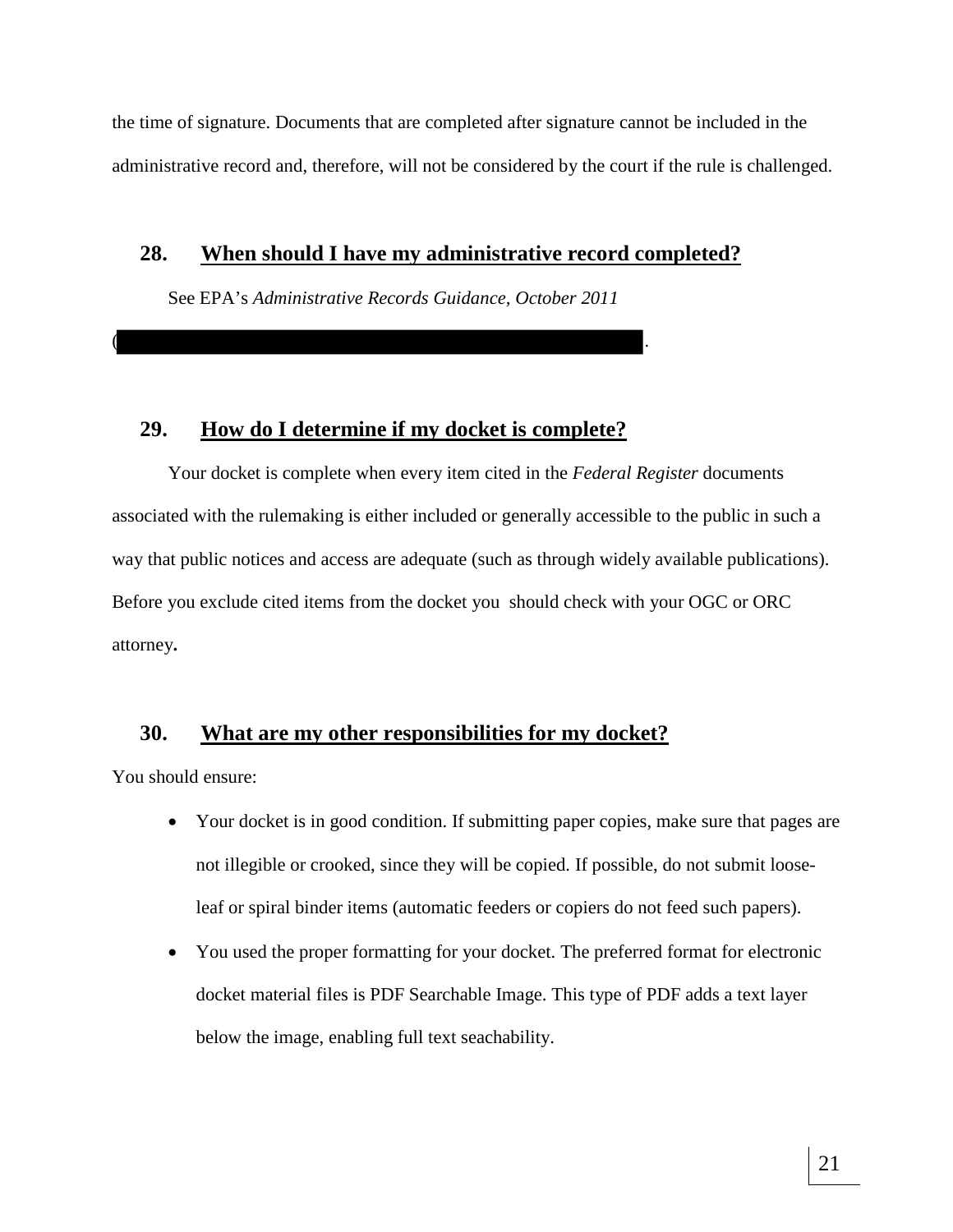the time of signature. Documents that are completed after signature cannot be included in the administrative record and, therefore, will not be considered by the court if the rule is challenged.

#### **28. When should I have my administrative record completed?**

See EPA's *Administrative Records Guidance, October 2011*

#### **29. How do I determine if my docket is complete?**

 $\overline{\phantom{a}}$  .

Your docket is complete when every item cited in the *Federal Register* documents associated with the rulemaking is either included or generally accessible to the public in such a way that public notices and access are adequate (such as through widely available publications). Before you exclude cited items from the docket you should check with your OGC or ORC attorney**.** 

# **30. What are my other responsibilities for my docket?**

You should ensure:

- Your docket is in good condition. If submitting paper copies, make sure that pages are not illegible or crooked, since they will be copied. If possible, do not submit looseleaf or spiral binder items (automatic feeders or copiers do not feed such papers).
- You used the proper formatting for your docket. The preferred format for electronic docket material files is PDF Searchable Image. This type of PDF adds a text layer below the image, enabling full text seachability.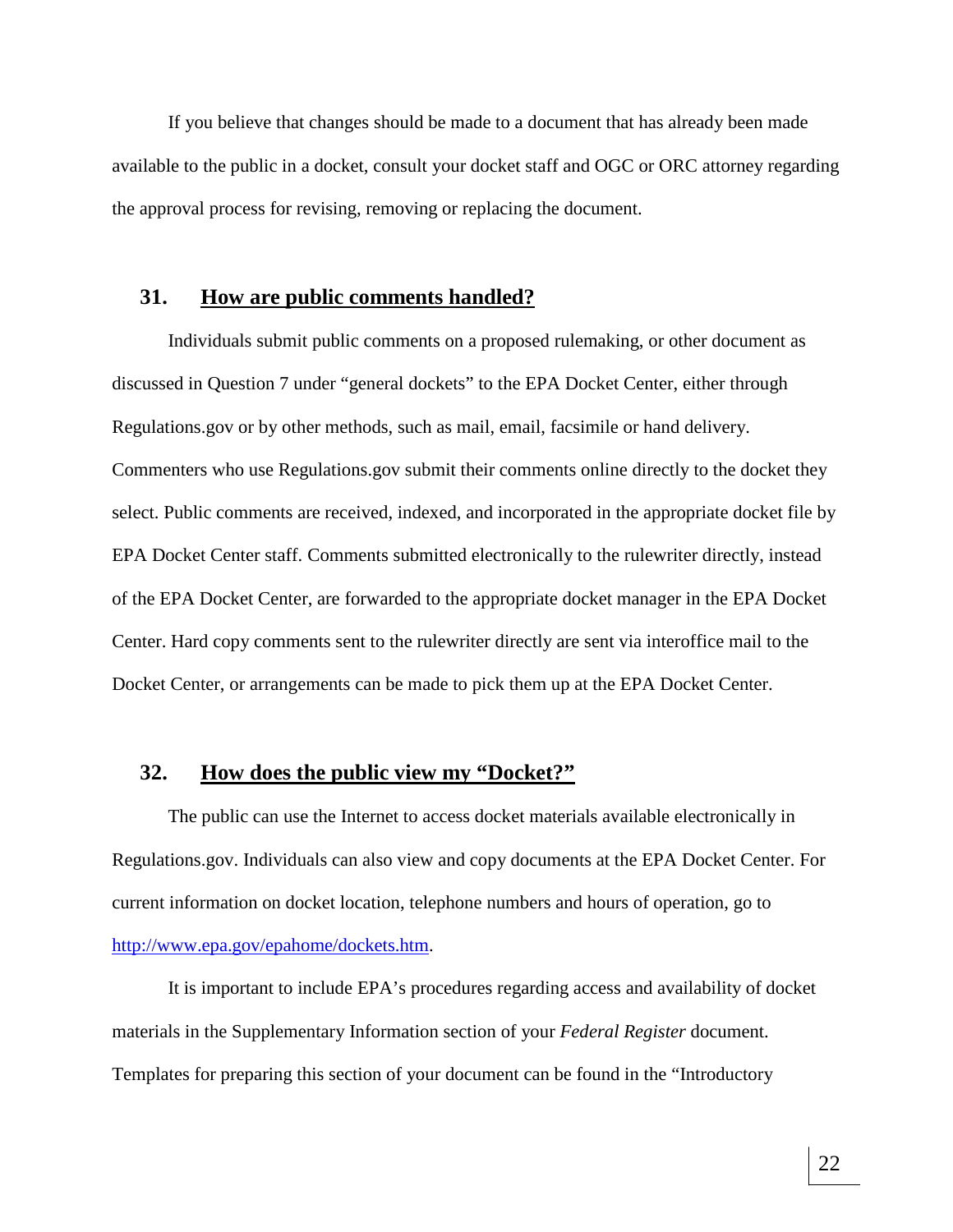If you believe that changes should be made to a document that has already been made available to the public in a docket, consult your docket staff and OGC or ORC attorney regarding the approval process for revising, removing or replacing the document.

#### **31. How are public comments handled?**

Individuals submit public comments on a proposed rulemaking, or other document as discussed in Question 7 under "general dockets" to the EPA Docket Center, either through Regulations.gov or by other methods, such as mail, email, facsimile or hand delivery. Commenters who use Regulations.gov submit their comments online directly to the docket they select. Public comments are received, indexed, and incorporated in the appropriate docket file by EPA Docket Center staff. Comments submitted electronically to the rulewriter directly, instead of the EPA Docket Center, are forwarded to the appropriate docket manager in the EPA Docket Center. Hard copy comments sent to the rulewriter directly are sent via interoffice mail to the Docket Center, or arrangements can be made to pick them up at the EPA Docket Center.

# **32. How does the public view my "Docket?"**

The public can use the Internet to access docket materials available electronically in Regulations.gov. Individuals can also view and copy documents at the EPA Docket Center. For current information on docket location, telephone numbers and hours of operation, go to http://www.epa.gov/epahome/dockets.htm.

It is important to include EPA's procedures regarding access and availability of docket materials in the Supplementary Information section of your *Federal Register* document. Templates for preparing this section of your document can be found in the "Introductory